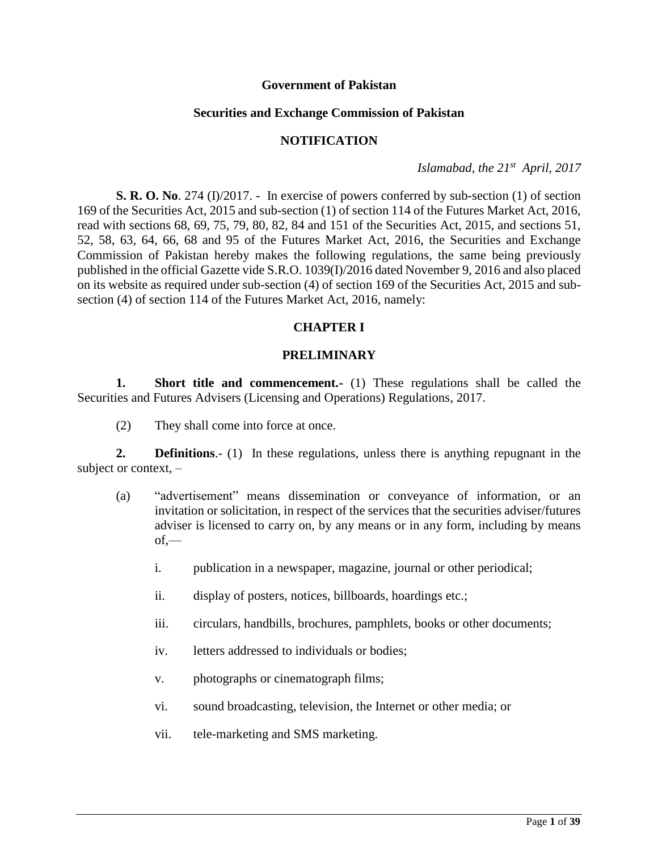#### **Government of Pakistan**

#### **Securities and Exchange Commission of Pakistan**

#### **NOTIFICATION**

*Islamabad, the 21st April, 2017*

**S. R. O. No**. 274 (I)/2017. - In exercise of powers conferred by sub-section (1) of section 169 of the Securities Act, 2015 and sub-section (1) of section 114 of the Futures Market Act, 2016, read with sections 68, 69, 75, 79, 80, 82, 84 and 151 of the Securities Act, 2015, and sections 51, 52, 58, 63, 64, 66, 68 and 95 of the Futures Market Act, 2016, the Securities and Exchange Commission of Pakistan hereby makes the following regulations, the same being previously published in the official Gazette vide S.R.O. 1039(I)/2016 dated November 9, 2016 and also placed on its website as required under sub-section (4) of section 169 of the Securities Act, 2015 and subsection (4) of section 114 of the Futures Market Act, 2016, namely:

### **CHAPTER I**

### **PRELIMINARY**

**1. Short title and commencement.** (1) These regulations shall be called the Securities and Futures Advisers (Licensing and Operations) Regulations, 2017.

(2) They shall come into force at once.

**2. Definitions**.- (1) In these regulations, unless there is anything repugnant in the subject or context, –

- (a) "advertisement" means dissemination or conveyance of information, or an invitation or solicitation, in respect of the services that the securities adviser/futures adviser is licensed to carry on, by any means or in any form, including by means  $of.$ 
	- i. publication in a newspaper, magazine, journal or other periodical;
	- ii. display of posters, notices, billboards, hoardings etc.;
	- iii. circulars, handbills, brochures, pamphlets, books or other documents;
	- iv. letters addressed to individuals or bodies;
	- v. photographs or cinematograph films;
	- vi. sound broadcasting, television, the Internet or other media; or
	- vii. tele-marketing and SMS marketing.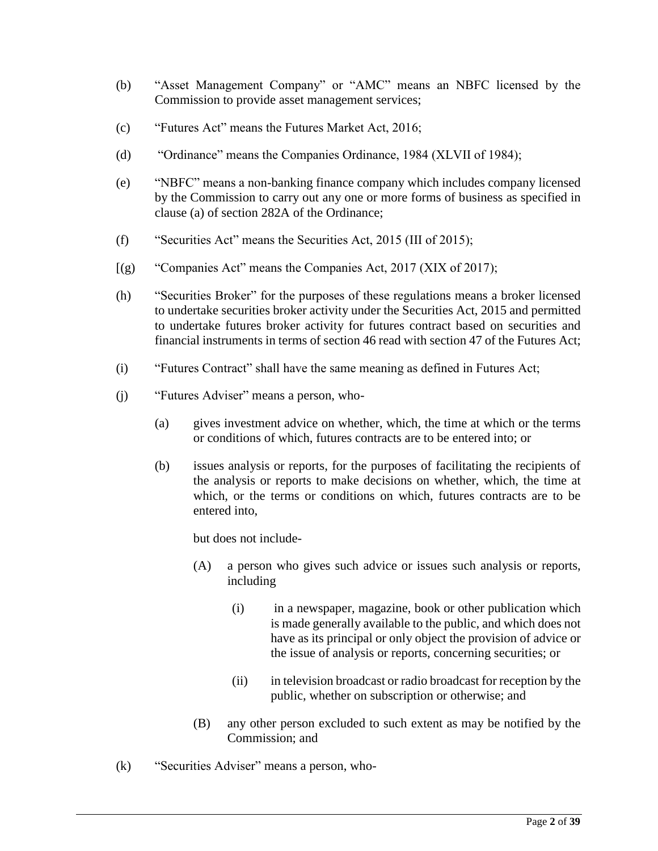- (b) "Asset Management Company" or "AMC" means an NBFC licensed by the Commission to provide asset management services;
- (c) "Futures Act" means the Futures Market Act, 2016;
- (d) "Ordinance" means the Companies Ordinance, 1984 (XLVII of 1984);
- (e) "NBFC" means a non-banking finance company which includes company licensed by the Commission to carry out any one or more forms of business as specified in clause (a) of section 282A of the Ordinance;
- (f) "Securities Act" means the Securities Act, 2015 (III of 2015);
- [(g) "Companies Act" means the Companies Act, 2017 (XIX of 2017);
- (h) "Securities Broker" for the purposes of these regulations means a broker licensed to undertake securities broker activity under the Securities Act, 2015 and permitted to undertake futures broker activity for futures contract based on securities and financial instruments in terms of section 46 read with section 47 of the Futures Act;
- (i) "Futures Contract" shall have the same meaning as defined in Futures Act;
- (j) "Futures Adviser" means a person, who-
	- (a) gives investment advice on whether, which, the time at which or the terms or conditions of which, futures contracts are to be entered into; or
	- (b) issues analysis or reports, for the purposes of facilitating the recipients of the analysis or reports to make decisions on whether, which, the time at which, or the terms or conditions on which, futures contracts are to be entered into,

but does not include-

- (A) a person who gives such advice or issues such analysis or reports, including
	- (i) in a newspaper, magazine, book or other publication which is made generally available to the public, and which does not have as its principal or only object the provision of advice or the issue of analysis or reports, concerning securities; or
	- (ii) in television broadcast or radio broadcast for reception by the public, whether on subscription or otherwise; and
- (B) any other person excluded to such extent as may be notified by the Commission; and
- (k) "Securities Adviser" means a person, who-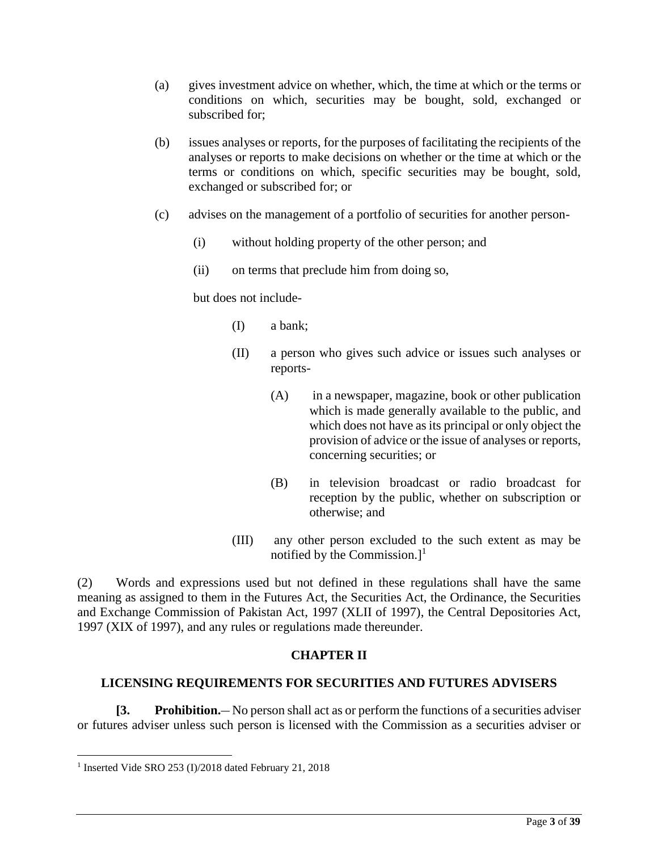- (a) gives investment advice on whether, which, the time at which or the terms or conditions on which, securities may be bought, sold, exchanged or subscribed for;
- (b) issues analyses or reports, for the purposes of facilitating the recipients of the analyses or reports to make decisions on whether or the time at which or the terms or conditions on which, specific securities may be bought, sold, exchanged or subscribed for; or
- (c) advises on the management of a portfolio of securities for another person-
	- (i) without holding property of the other person; and
	- (ii) on terms that preclude him from doing so,

but does not include-

- (I) a bank;
- (II) a person who gives such advice or issues such analyses or reports-
	- (A) in a newspaper, magazine, book or other publication which is made generally available to the public, and which does not have as its principal or only object the provision of advice or the issue of analyses or reports, concerning securities; or
	- (B) in television broadcast or radio broadcast for reception by the public, whether on subscription or otherwise; and
- (III) any other person excluded to the such extent as may be notified by the Commission.]<sup>1</sup>

(2) Words and expressions used but not defined in these regulations shall have the same meaning as assigned to them in the Futures Act, the Securities Act, the Ordinance, the Securities and Exchange Commission of Pakistan Act, 1997 (XLII of 1997), the Central Depositories Act, 1997 (XIX of 1997), and any rules or regulations made thereunder.

# **CHAPTER II**

# **LICENSING REQUIREMENTS FOR SECURITIES AND FUTURES ADVISERS**

**[3. Prohibition.\_\_** No person shall act as or perform the functions of a securities adviser or futures adviser unless such person is licensed with the Commission as a securities adviser or

 $\overline{\phantom{a}}$ 

<sup>&</sup>lt;sup>1</sup> Inserted Vide SRO 253 (I)/2018 dated February 21, 2018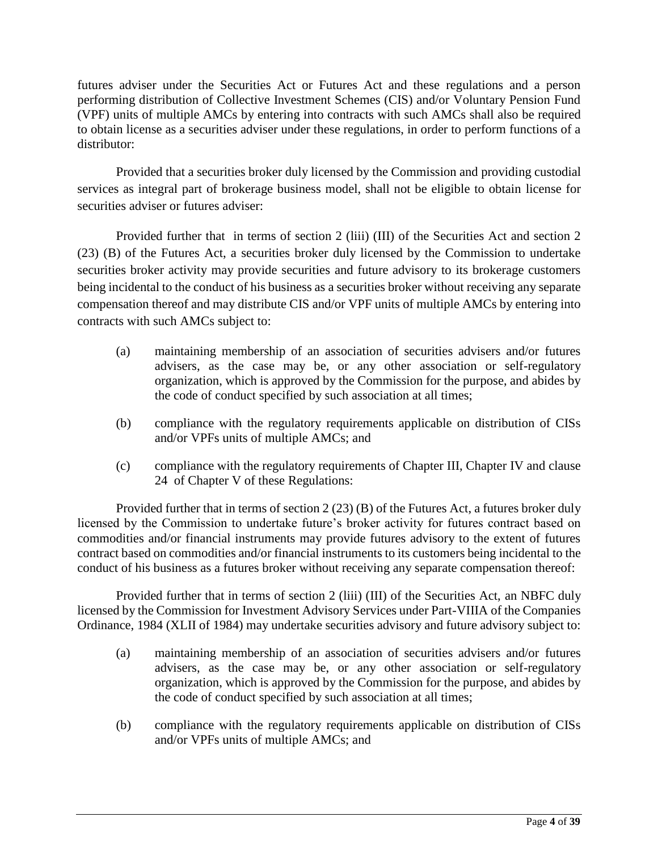futures adviser under the Securities Act or Futures Act and these regulations and a person performing distribution of Collective Investment Schemes (CIS) and/or Voluntary Pension Fund (VPF) units of multiple AMCs by entering into contracts with such AMCs shall also be required to obtain license as a securities adviser under these regulations, in order to perform functions of a distributor:

Provided that a securities broker duly licensed by the Commission and providing custodial services as integral part of brokerage business model, shall not be eligible to obtain license for securities adviser or futures adviser:

Provided further that in terms of section 2 (liii) (III) of the Securities Act and section 2 (23) (B) of the Futures Act, a securities broker duly licensed by the Commission to undertake securities broker activity may provide securities and future advisory to its brokerage customers being incidental to the conduct of his business as a securities broker without receiving any separate compensation thereof and may distribute CIS and/or VPF units of multiple AMCs by entering into contracts with such AMCs subject to:

- (a) maintaining membership of an association of securities advisers and/or futures advisers, as the case may be, or any other association or self-regulatory organization, which is approved by the Commission for the purpose, and abides by the code of conduct specified by such association at all times;
- (b) compliance with the regulatory requirements applicable on distribution of CISs and/or VPFs units of multiple AMCs; and
- (c) compliance with the regulatory requirements of Chapter III, Chapter IV and clause 24 of Chapter V of these Regulations:

Provided further that in terms of section 2 (23) (B) of the Futures Act, a futures broker duly licensed by the Commission to undertake future's broker activity for futures contract based on commodities and/or financial instruments may provide futures advisory to the extent of futures contract based on commodities and/or financial instruments to its customers being incidental to the conduct of his business as a futures broker without receiving any separate compensation thereof:

Provided further that in terms of section 2 (liii) (III) of the Securities Act, an NBFC duly licensed by the Commission for Investment Advisory Services under Part-VIIIA of the Companies Ordinance, 1984 (XLII of 1984) may undertake securities advisory and future advisory subject to:

- (a) maintaining membership of an association of securities advisers and/or futures advisers, as the case may be, or any other association or self-regulatory organization, which is approved by the Commission for the purpose, and abides by the code of conduct specified by such association at all times;
- (b) compliance with the regulatory requirements applicable on distribution of CISs and/or VPFs units of multiple AMCs; and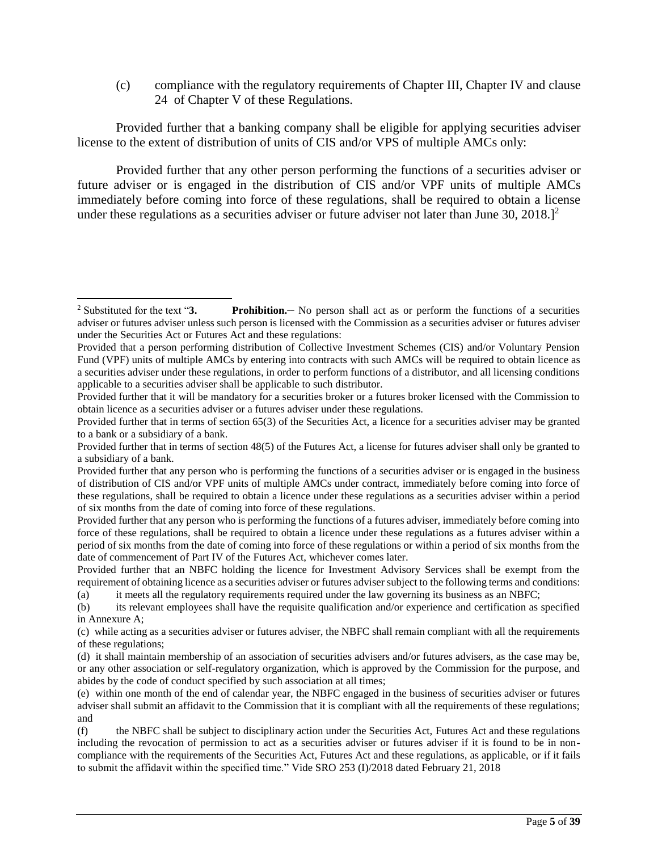(c) compliance with the regulatory requirements of Chapter III, Chapter IV and clause 24 of Chapter V of these Regulations.

Provided further that a banking company shall be eligible for applying securities adviser license to the extent of distribution of units of CIS and/or VPS of multiple AMCs only:

Provided further that any other person performing the functions of a securities adviser or future adviser or is engaged in the distribution of CIS and/or VPF units of multiple AMCs immediately before coming into force of these regulations, shall be required to obtain a license under these regulations as a securities adviser or future adviser not later than June  $30$ ,  $2018$ .]<sup>2</sup>

l

<sup>&</sup>lt;sup>2</sup> Substituted for the text "3. **Prohibition.** No person shall act as or perform the functions of a securities adviser or futures adviser unless such person is licensed with the Commission as a securities adviser or futures adviser under the Securities Act or Futures Act and these regulations:

Provided that a person performing distribution of Collective Investment Schemes (CIS) and/or Voluntary Pension Fund (VPF) units of multiple AMCs by entering into contracts with such AMCs will be required to obtain licence as a securities adviser under these regulations, in order to perform functions of a distributor, and all licensing conditions applicable to a securities adviser shall be applicable to such distributor.

Provided further that it will be mandatory for a securities broker or a futures broker licensed with the Commission to obtain licence as a securities adviser or a futures adviser under these regulations.

Provided further that in terms of section 65(3) of the Securities Act, a licence for a securities adviser may be granted to a bank or a subsidiary of a bank.

Provided further that in terms of section 48(5) of the Futures Act, a license for futures adviser shall only be granted to a subsidiary of a bank.

Provided further that any person who is performing the functions of a securities adviser or is engaged in the business of distribution of CIS and/or VPF units of multiple AMCs under contract, immediately before coming into force of these regulations, shall be required to obtain a licence under these regulations as a securities adviser within a period of six months from the date of coming into force of these regulations.

Provided further that any person who is performing the functions of a futures adviser, immediately before coming into force of these regulations, shall be required to obtain a licence under these regulations as a futures adviser within a period of six months from the date of coming into force of these regulations or within a period of six months from the date of commencement of Part IV of the Futures Act, whichever comes later.

Provided further that an NBFC holding the licence for Investment Advisory Services shall be exempt from the requirement of obtaining licence as a securities adviser or futures adviser subject to the following terms and conditions: (a) it meets all the regulatory requirements required under the law governing its business as an NBFC;

<sup>(</sup>b) its relevant employees shall have the requisite qualification and/or experience and certification as specified in Annexure A;

<sup>(</sup>c) while acting as a securities adviser or futures adviser, the NBFC shall remain compliant with all the requirements of these regulations;

<sup>(</sup>d) it shall maintain membership of an association of securities advisers and/or futures advisers, as the case may be, or any other association or self-regulatory organization, which is approved by the Commission for the purpose, and abides by the code of conduct specified by such association at all times;

<sup>(</sup>e) within one month of the end of calendar year, the NBFC engaged in the business of securities adviser or futures adviser shall submit an affidavit to the Commission that it is compliant with all the requirements of these regulations; and

<sup>(</sup>f) the NBFC shall be subject to disciplinary action under the Securities Act, Futures Act and these regulations including the revocation of permission to act as a securities adviser or futures adviser if it is found to be in noncompliance with the requirements of the Securities Act, Futures Act and these regulations, as applicable, or if it fails to submit the affidavit within the specified time." Vide SRO 253 (I)/2018 dated February 21, 2018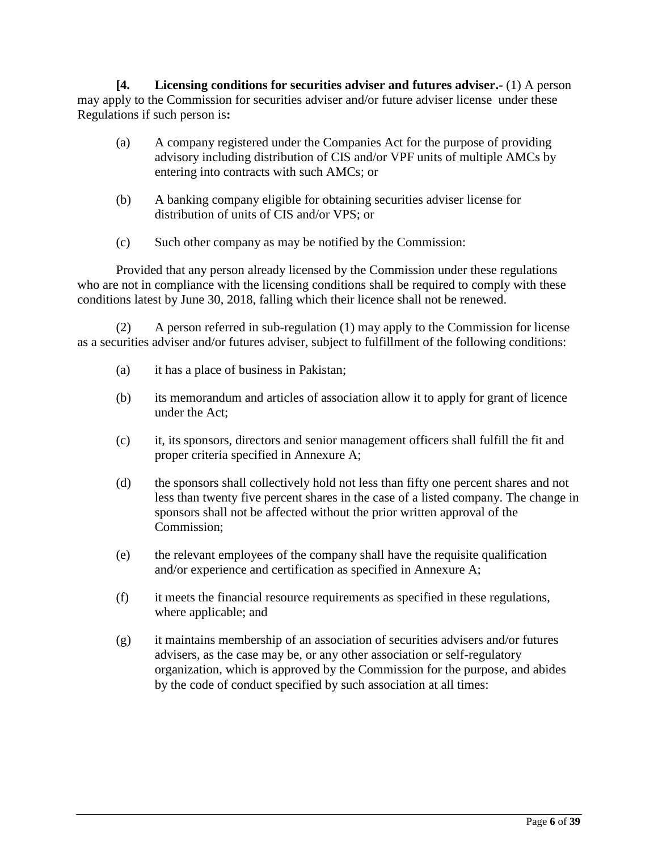**[4. Licensing conditions for securities adviser and futures adviser.-** (1) A person may apply to the Commission for securities adviser and/or future adviser license under these Regulations if such person is**:**

- (a) A company registered under the Companies Act for the purpose of providing advisory including distribution of CIS and/or VPF units of multiple AMCs by entering into contracts with such AMCs; or
- (b) A banking company eligible for obtaining securities adviser license for distribution of units of CIS and/or VPS; or
- (c) Such other company as may be notified by the Commission:

Provided that any person already licensed by the Commission under these regulations who are not in compliance with the licensing conditions shall be required to comply with these conditions latest by June 30, 2018, falling which their licence shall not be renewed.

(2) A person referred in sub-regulation (1) may apply to the Commission for license as a securities adviser and/or futures adviser, subject to fulfillment of the following conditions:

- (a) it has a place of business in Pakistan;
- (b) its memorandum and articles of association allow it to apply for grant of licence under the Act;
- (c) it, its sponsors, directors and senior management officers shall fulfill the fit and proper criteria specified in Annexure A;
- (d) the sponsors shall collectively hold not less than fifty one percent shares and not less than twenty five percent shares in the case of a listed company. The change in sponsors shall not be affected without the prior written approval of the Commission;
- (e) the relevant employees of the company shall have the requisite qualification and/or experience and certification as specified in Annexure A;
- (f) it meets the financial resource requirements as specified in these regulations, where applicable; and
- (g) it maintains membership of an association of securities advisers and/or futures advisers, as the case may be, or any other association or self-regulatory organization, which is approved by the Commission for the purpose, and abides by the code of conduct specified by such association at all times: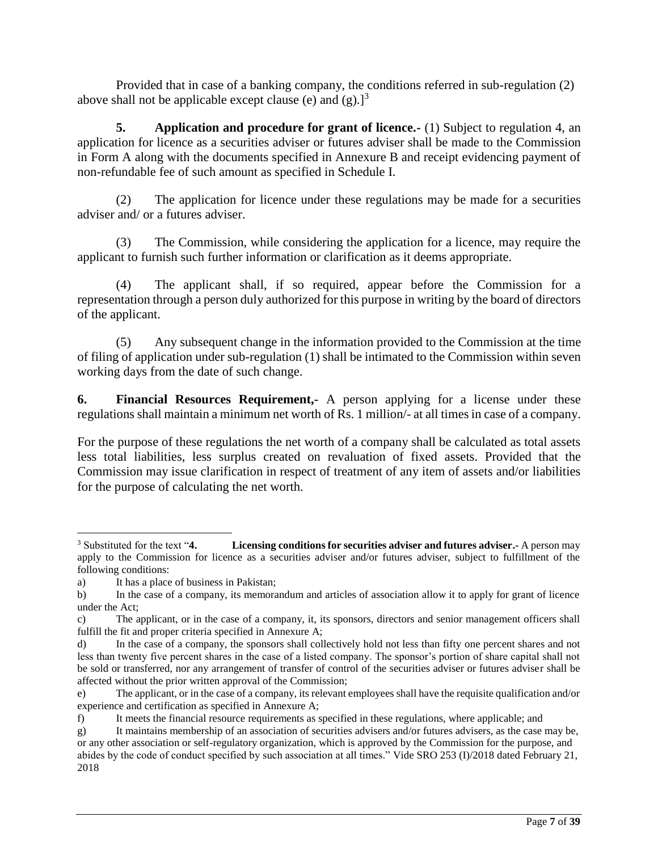Provided that in case of a banking company, the conditions referred in sub-regulation (2) above shall not be applicable except clause (e) and  $(g)$ .<sup>[3]</sup>

**5. Application and procedure for grant of licence.** (1) Subject to regulation 4, an application for licence as a securities adviser or futures adviser shall be made to the Commission in Form A along with the documents specified in Annexure B and receipt evidencing payment of non-refundable fee of such amount as specified in Schedule I.

(2) The application for licence under these regulations may be made for a securities adviser and/ or a futures adviser.

(3) The Commission, while considering the application for a licence, may require the applicant to furnish such further information or clarification as it deems appropriate.

(4) The applicant shall, if so required, appear before the Commission for a representation through a person duly authorized for this purpose in writing by the board of directors of the applicant.

(5) Any subsequent change in the information provided to the Commission at the time of filing of application under sub-regulation (1) shall be intimated to the Commission within seven working days from the date of such change.

**6. Financial Resources Requirement,-** A person applying for a license under these regulations shall maintain a minimum net worth of Rs. 1 million/- at all times in case of a company.

For the purpose of these regulations the net worth of a company shall be calculated as total assets less total liabilities, less surplus created on revaluation of fixed assets. Provided that the Commission may issue clarification in respect of treatment of any item of assets and/or liabilities for the purpose of calculating the net worth.

 $\overline{\phantom{a}}$ <sup>3</sup> Substituted for the text "**4. Licensing conditions for securities adviser and futures adviser.-** A person may apply to the Commission for licence as a securities adviser and/or futures adviser, subject to fulfillment of the following conditions:

a) It has a place of business in Pakistan;

b) In the case of a company, its memorandum and articles of association allow it to apply for grant of licence under the Act;

c) The applicant, or in the case of a company, it, its sponsors, directors and senior management officers shall fulfill the fit and proper criteria specified in Annexure A;

d) In the case of a company, the sponsors shall collectively hold not less than fifty one percent shares and not less than twenty five percent shares in the case of a listed company. The sponsor's portion of share capital shall not be sold or transferred, nor any arrangement of transfer of control of the securities adviser or futures adviser shall be affected without the prior written approval of the Commission;

e) The applicant, or in the case of a company, its relevant employees shall have the requisite qualification and/or experience and certification as specified in Annexure A;

f) It meets the financial resource requirements as specified in these regulations, where applicable; and

g) It maintains membership of an association of securities advisers and/or futures advisers, as the case may be, or any other association or self-regulatory organization, which is approved by the Commission for the purpose, and abides by the code of conduct specified by such association at all times." Vide SRO 253 (I)/2018 dated February 21, 2018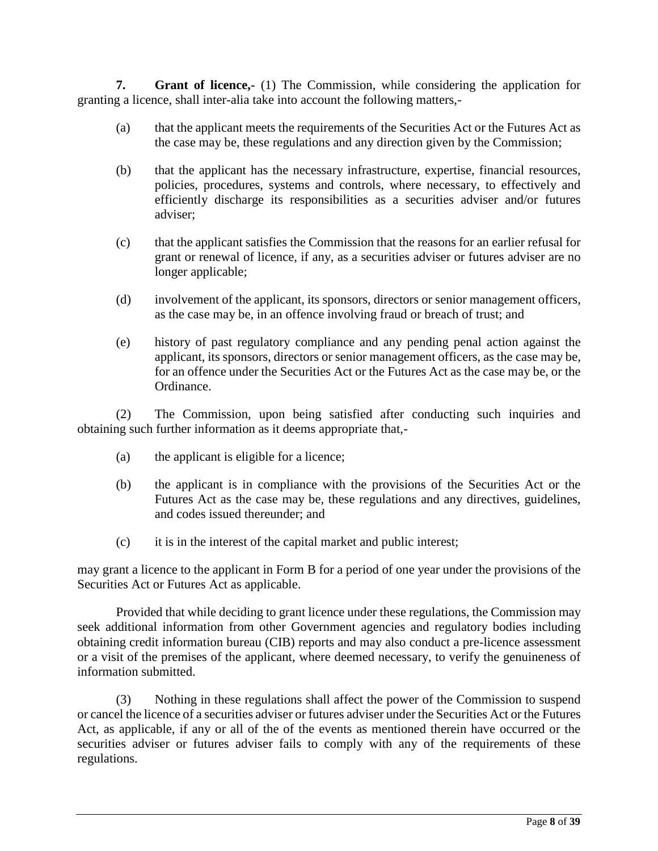**7. Grant of licence,-** (1) The Commission, while considering the application for granting a licence, shall inter-alia take into account the following matters,-

- (a) that the applicant meets the requirements of the Securities Act or the Futures Act as the case may be, these regulations and any direction given by the Commission;
- (b) that the applicant has the necessary infrastructure, expertise, financial resources, policies, procedures, systems and controls, where necessary, to effectively and efficiently discharge its responsibilities as a securities adviser and/or futures adviser;
- (c) that the applicant satisfies the Commission that the reasons for an earlier refusal for grant or renewal of licence, if any, as a securities adviser or futures adviser are no longer applicable;
- (d) involvement of the applicant, its sponsors, directors or senior management officers, as the case may be, in an offence involving fraud or breach of trust; and
- (e) history of past regulatory compliance and any pending penal action against the applicant, its sponsors, directors or senior management officers, as the case may be, for an offence under the Securities Act or the Futures Act as the case may be, or the Ordinance.

(2) The Commission, upon being satisfied after conducting such inquiries and obtaining such further information as it deems appropriate that,-

- (a) the applicant is eligible for a licence;
- (b) the applicant is in compliance with the provisions of the Securities Act or the Futures Act as the case may be, these regulations and any directives, guidelines, and codes issued thereunder; and
- (c) it is in the interest of the capital market and public interest;

may grant a licence to the applicant in Form B for a period of one year under the provisions of the Securities Act or Futures Act as applicable.

Provided that while deciding to grant licence under these regulations, the Commission may seek additional information from other Government agencies and regulatory bodies including obtaining credit information bureau (CIB) reports and may also conduct a pre-licence assessment or a visit of the premises of the applicant, where deemed necessary, to verify the genuineness of information submitted.

(3) Nothing in these regulations shall affect the power of the Commission to suspend or cancel the licence of a securities adviser or futures adviser under the Securities Act or the Futures Act, as applicable, if any or all of the of the events as mentioned therein have occurred or the securities adviser or futures adviser fails to comply with any of the requirements of these regulations.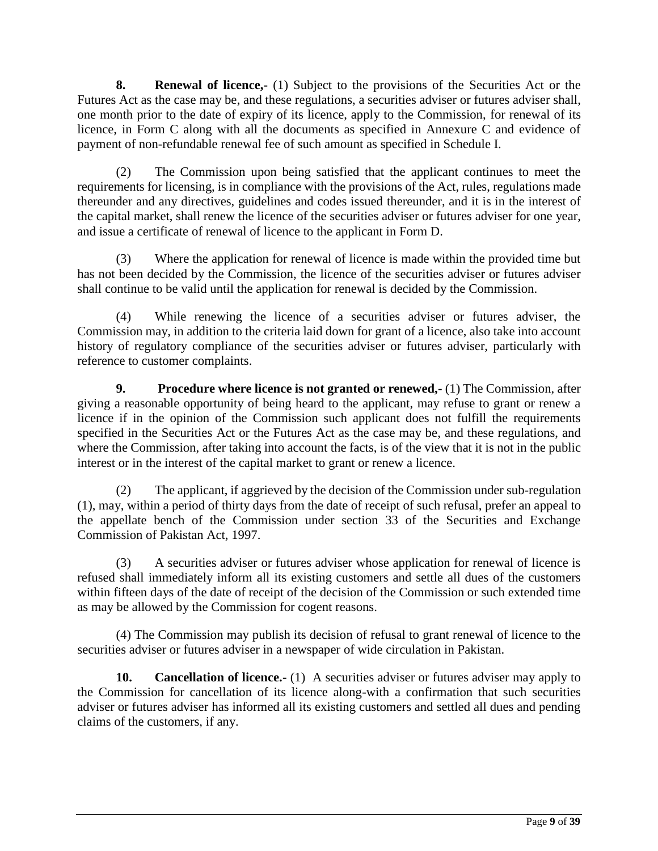**8. Renewal of licence,-** (1) Subject to the provisions of the Securities Act or the Futures Act as the case may be, and these regulations, a securities adviser or futures adviser shall, one month prior to the date of expiry of its licence, apply to the Commission, for renewal of its licence, in Form C along with all the documents as specified in Annexure C and evidence of payment of non-refundable renewal fee of such amount as specified in Schedule I.

(2) The Commission upon being satisfied that the applicant continues to meet the requirements for licensing, is in compliance with the provisions of the Act, rules, regulations made thereunder and any directives, guidelines and codes issued thereunder, and it is in the interest of the capital market, shall renew the licence of the securities adviser or futures adviser for one year, and issue a certificate of renewal of licence to the applicant in Form D.

(3) Where the application for renewal of licence is made within the provided time but has not been decided by the Commission, the licence of the securities adviser or futures adviser shall continue to be valid until the application for renewal is decided by the Commission.

(4) While renewing the licence of a securities adviser or futures adviser, the Commission may, in addition to the criteria laid down for grant of a licence, also take into account history of regulatory compliance of the securities adviser or futures adviser, particularly with reference to customer complaints.

**9. Procedure where licence is not granted or renewed,-** (1) The Commission, after giving a reasonable opportunity of being heard to the applicant, may refuse to grant or renew a licence if in the opinion of the Commission such applicant does not fulfill the requirements specified in the Securities Act or the Futures Act as the case may be, and these regulations, and where the Commission, after taking into account the facts, is of the view that it is not in the public interest or in the interest of the capital market to grant or renew a licence.

(2) The applicant, if aggrieved by the decision of the Commission under [sub-regulation](http://www.sebi.gov.in/acts/act042.jsp?uc_dept_id=1#reg 9)  [\(1\),](http://www.sebi.gov.in/acts/act042.jsp?uc_dept_id=1#reg 9) may, within a period of thirty days from the date of receipt of such refusal, prefer an appeal to the appellate bench of the Commission under section 33 of the Securities and Exchange Commission of Pakistan Act, 1997.

(3) A securities adviser or futures adviser whose application for renewal of licence is refused shall immediately inform all its existing customers and settle all dues of the customers within fifteen days of the date of receipt of the decision of the Commission or such extended time as may be allowed by the Commission for cogent reasons.

(4) The Commission may publish its decision of refusal to grant renewal of licence to the securities adviser or futures adviser in a newspaper of wide circulation in Pakistan.

**10. Cancellation of licence.-** (1) A securities adviser or futures adviser may apply to the Commission for cancellation of its licence along-with a confirmation that such securities adviser or futures adviser has informed all its existing customers and settled all dues and pending claims of the customers, if any.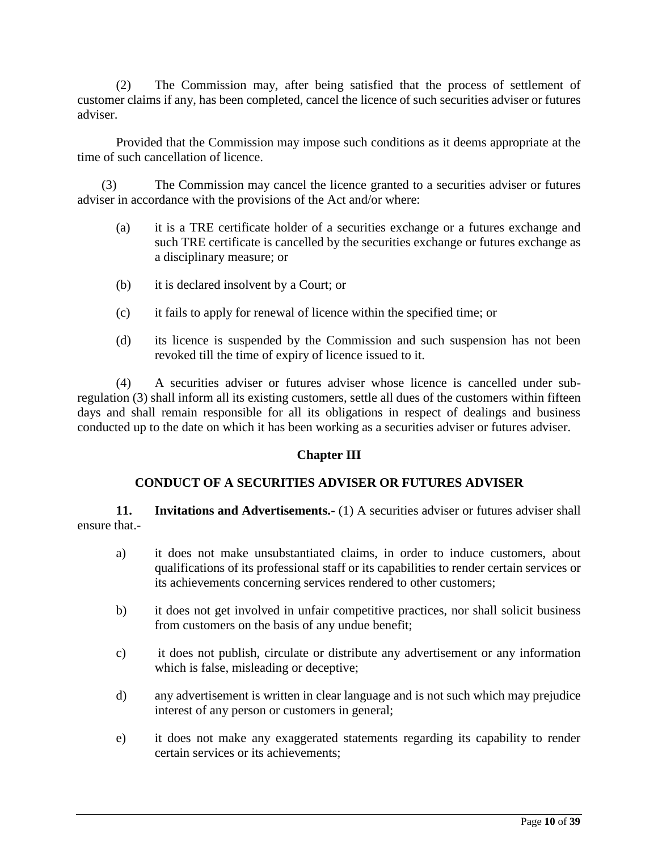(2) The Commission may, after being satisfied that the process of settlement of customer claims if any, has been completed, cancel the licence of such securities adviser or futures adviser.

Provided that the Commission may impose such conditions as it deems appropriate at the time of such cancellation of licence.

(3) The Commission may cancel the licence granted to a securities adviser or futures adviser in accordance with the provisions of the Act and/or where:

- (a) it is a TRE certificate holder of a securities exchange or a futures exchange and such TRE certificate is cancelled by the securities exchange or futures exchange as a disciplinary measure; or
- (b) it is declared insolvent by a Court; or
- (c) it fails to apply for renewal of licence within the specified time; or
- (d) its licence is suspended by the Commission and such suspension has not been revoked till the time of expiry of licence issued to it.

(4) A securities adviser or futures adviser whose licence is cancelled under subregulation (3) shall inform all its existing customers, settle all dues of the customers within fifteen days and shall remain responsible for all its obligations in respect of dealings and business conducted up to the date on which it has been working as a securities adviser or futures adviser.

### **Chapter III**

### **CONDUCT OF A SECURITIES ADVISER OR FUTURES ADVISER**

**11. Invitations and Advertisements.** (1) A securities adviser or futures adviser shall ensure that.-

- a) it does not make unsubstantiated claims, in order to induce customers, about qualifications of its professional staff or its capabilities to render certain services or its achievements concerning services rendered to other customers;
- b) it does not get involved in unfair competitive practices, nor shall solicit business from customers on the basis of any undue benefit;
- c) it does not publish, circulate or distribute any advertisement or any information which is false, misleading or deceptive;
- d) any advertisement is written in clear language and is not such which may prejudice interest of any person or customers in general;
- e) it does not make any exaggerated statements regarding its capability to render certain services or its achievements;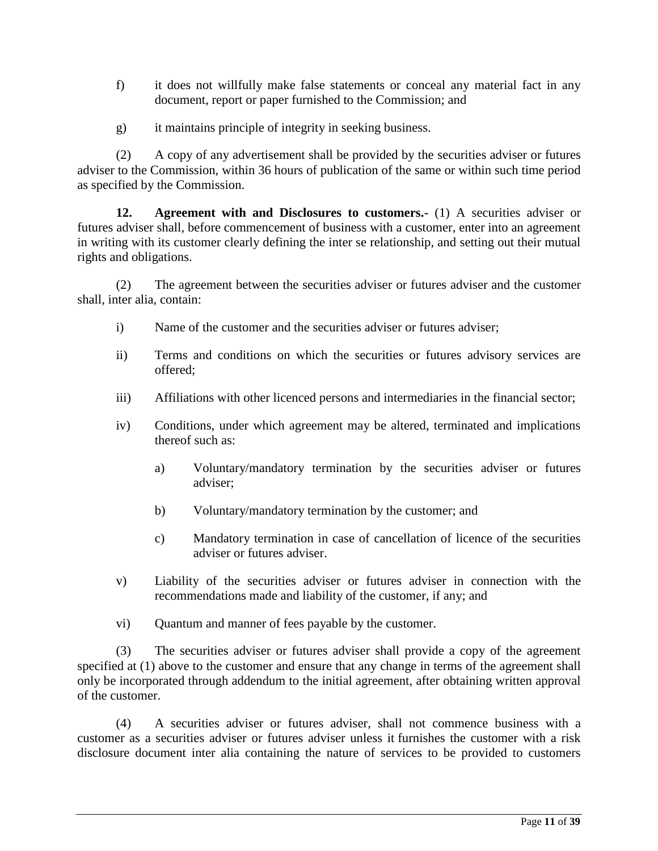- f) it does not willfully make false statements or conceal any material fact in any document, report or paper furnished to the Commission; and
- g) it maintains principle of integrity in seeking business.

(2) A copy of any advertisement shall be provided by the securities adviser or futures adviser to the Commission, within 36 hours of publication of the same or within such time period as specified by the Commission.

**12. Agreement with and Disclosures to customers.-** (1) A securities adviser or futures adviser shall, before commencement of business with a customer, enter into an agreement in writing with its customer clearly defining the inter se relationship, and setting out their mutual rights and obligations.

(2) The agreement between the securities adviser or futures adviser and the customer shall, inter alia, contain:

- i) Name of the customer and the securities adviser or futures adviser;
- ii) Terms and conditions on which the securities or futures advisory services are offered;
- iii) Affiliations with other licenced persons and intermediaries in the financial sector;
- iv) Conditions, under which agreement may be altered, terminated and implications thereof such as:
	- a) Voluntary/mandatory termination by the securities adviser or futures adviser;
	- b) Voluntary/mandatory termination by the customer; and
	- c) Mandatory termination in case of cancellation of licence of the securities adviser or futures adviser.
- v) Liability of the securities adviser or futures adviser in connection with the recommendations made and liability of the customer, if any; and
- vi) Quantum and manner of fees payable by the customer.

(3) The securities adviser or futures adviser shall provide a copy of the agreement specified at (1) above to the customer and ensure that any change in terms of the agreement shall only be incorporated through addendum to the initial agreement, after obtaining written approval of the customer.

(4) A securities adviser or futures adviser, shall not commence business with a customer as a securities adviser or futures adviser unless it furnishes the customer with a risk disclosure document inter alia containing the nature of services to be provided to customers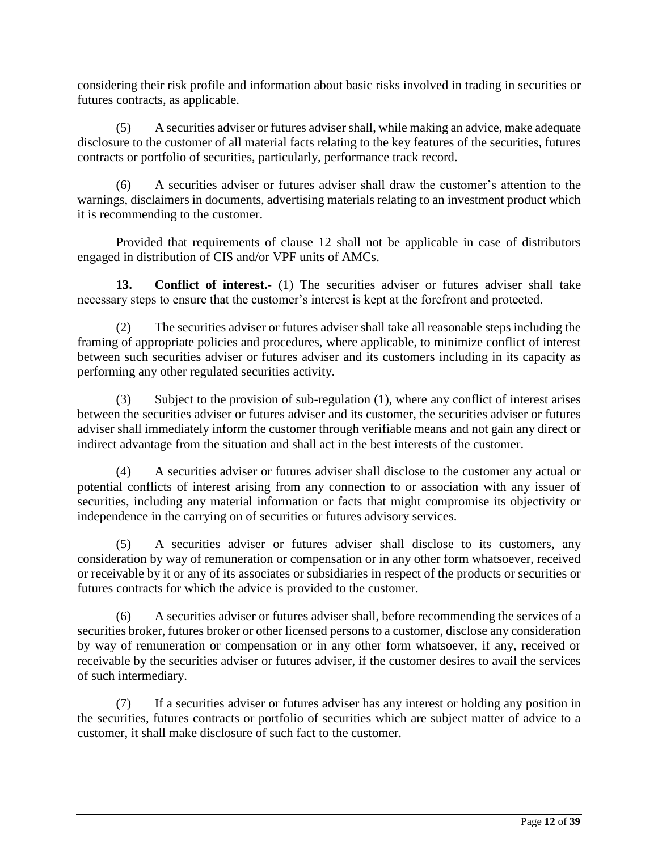considering their risk profile and information about basic risks involved in trading in securities or futures contracts, as applicable.

(5) A securities adviser or futures advisershall, while making an advice, make adequate disclosure to the customer of all material facts relating to the key features of the securities, futures contracts or portfolio of securities, particularly, performance track record.

(6) A securities adviser or futures adviser shall draw the customer's attention to the warnings, disclaimers in documents, advertising materials relating to an investment product which it is recommending to the customer.

Provided that requirements of clause 12 shall not be applicable in case of distributors engaged in distribution of CIS and/or VPF units of AMCs.

**13. Conflict of interest.-** (1) The securities adviser or futures adviser shall take necessary steps to ensure that the customer's interest is kept at the forefront and protected.

(2) The securities adviser or futures adviser shall take all reasonable steps including the framing of appropriate policies and procedures, where applicable, to minimize conflict of interest between such securities adviser or futures adviser and its customers including in its capacity as performing any other regulated securities activity.

(3) Subject to the provision of sub-regulation (1), where any conflict of interest arises between the securities adviser or futures adviser and its customer, the securities adviser or futures adviser shall immediately inform the customer through verifiable means and not gain any direct or indirect advantage from the situation and shall act in the best interests of the customer.

(4) A securities adviser or futures adviser shall disclose to the customer any actual or potential conflicts of interest arising from any connection to or association with any issuer of securities, including any material information or facts that might compromise its objectivity or independence in the carrying on of securities or futures advisory services.

(5) A securities adviser or futures adviser shall disclose to its customers, any consideration by way of remuneration or compensation or in any other form whatsoever, received or receivable by it or any of its associates or subsidiaries in respect of the products or securities or futures contracts for which the advice is provided to the customer.

(6) A securities adviser or futures adviser shall, before recommending the services of a securities broker, futures broker or other licensed persons to a customer, disclose any consideration by way of remuneration or compensation or in any other form whatsoever, if any, received or receivable by the securities adviser or futures adviser, if the customer desires to avail the services of such intermediary.

(7) If a securities adviser or futures adviser has any interest or holding any position in the securities, futures contracts or portfolio of securities which are subject matter of advice to a customer, it shall make disclosure of such fact to the customer.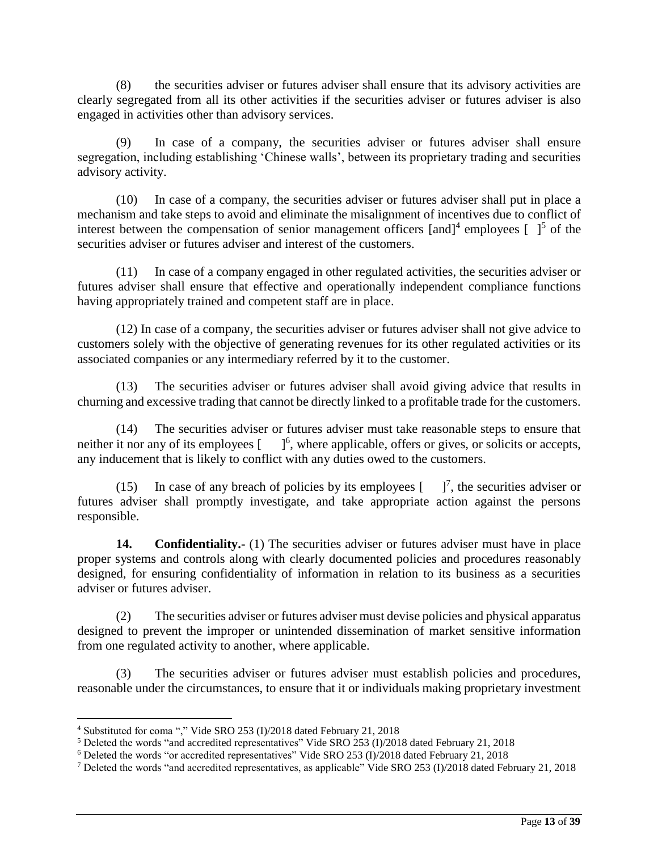(8) the securities adviser or futures adviser shall ensure that its advisory activities are clearly segregated from all its other activities if the securities adviser or futures adviser is also engaged in activities other than advisory services.

(9) In case of a company, the securities adviser or futures adviser shall ensure segregation, including establishing 'Chinese walls', between its proprietary trading and securities advisory activity.

(10) In case of a company, the securities adviser or futures adviser shall put in place a mechanism and take steps to avoid and eliminate the misalignment of incentives due to conflict of interest between the compensation of senior management officers  $[$ and $]$ <sup>4</sup> employees  $[$   $]$ <sup>5</sup> of the securities adviser or futures adviser and interest of the customers.

(11) In case of a company engaged in other regulated activities, the securities adviser or futures adviser shall ensure that effective and operationally independent compliance functions having appropriately trained and competent staff are in place.

(12) In case of a company, the securities adviser or futures adviser shall not give advice to customers solely with the objective of generating revenues for its other regulated activities or its associated companies or any intermediary referred by it to the customer.

(13) The securities adviser or futures adviser shall avoid giving advice that results in churning and excessive trading that cannot be directly linked to a profitable trade for the customers.

(14) The securities adviser or futures adviser must take reasonable steps to ensure that neither it nor any of its employees [66].  $\int_0^6$ , where applicable, offers or gives, or solicits or accepts, any inducement that is likely to conflict with any duties owed to the customers.

(15) In case of any breach of policies by its employees  $\begin{bmatrix} 1 \end{bmatrix}$ , the securities adviser or futures adviser shall promptly investigate, and take appropriate action against the persons responsible.

**14. Confidentiality.-** (1) The securities adviser or futures adviser must have in place proper systems and controls along with clearly documented policies and procedures reasonably designed, for ensuring confidentiality of information in relation to its business as a securities adviser or futures adviser.

(2) The securities adviser or futures adviser must devise policies and physical apparatus designed to prevent the improper or unintended dissemination of market sensitive information from one regulated activity to another, where applicable.

(3) The securities adviser or futures adviser must establish policies and procedures, reasonable under the circumstances, to ensure that it or individuals making proprietary investment

 $\overline{a}$ 

<sup>4</sup> Substituted for coma "," Vide SRO 253 (I)/2018 dated February 21, 2018

<sup>5</sup> Deleted the words "and accredited representatives" Vide SRO 253 (I)/2018 dated February 21, 2018

<sup>6</sup> Deleted the words "or accredited representatives" Vide SRO 253 (I)/2018 dated February 21, 2018

<sup>7</sup> Deleted the words "and accredited representatives, as applicable" Vide SRO 253 (I)/2018 dated February 21, 2018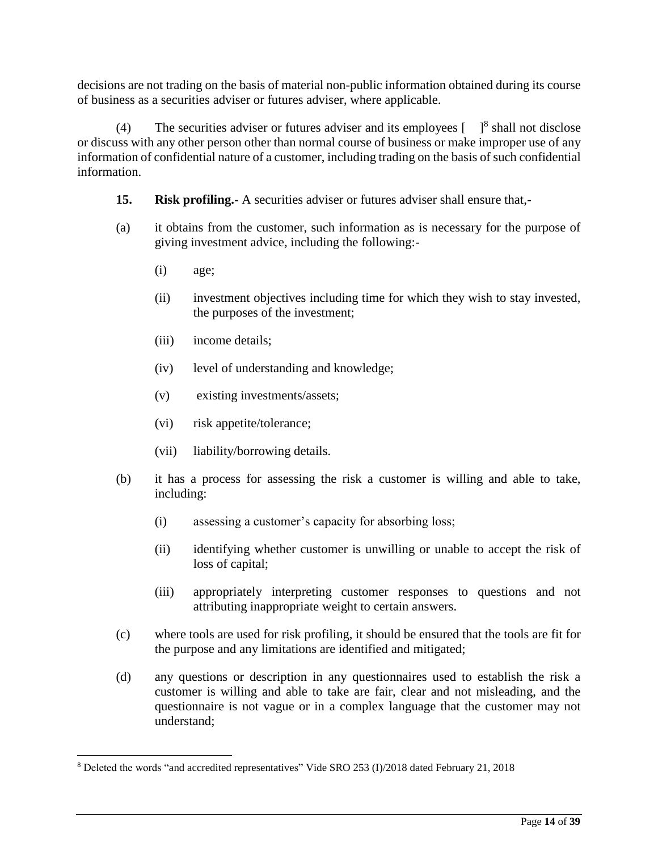decisions are not trading on the basis of material non-public information obtained during its course of business as a securities adviser or futures adviser, where applicable.

(4) The securities adviser or futures adviser and its employees  $\begin{bmatrix} 1 & 1 \end{bmatrix}^8$  shall not disclose or discuss with any other person other than normal course of business or make improper use of any information of confidential nature of a customer, including trading on the basis of such confidential information.

- **15. Risk profiling.-** A securities adviser or futures adviser shall ensure that,-
- (a) it obtains from the customer, such information as is necessary for the purpose of giving investment advice, including the following:-
	- (i) age;

 $\overline{\phantom{a}}$ 

- (ii) investment objectives including time for which they wish to stay invested, the purposes of the investment;
- (iii) income details;
- (iv) level of understanding and knowledge;
- (v) existing investments/assets;
- (vi) risk appetite/tolerance;
- (vii) liability/borrowing details.
- (b) it has a process for assessing the risk a customer is willing and able to take, including:
	- (i) assessing a customer's capacity for absorbing loss;
	- (ii) identifying whether customer is unwilling or unable to accept the risk of loss of capital;
	- (iii) appropriately interpreting customer responses to questions and not attributing inappropriate weight to certain answers.
- (c) where tools are used for risk profiling, it should be ensured that the tools are fit for the purpose and any limitations are identified and mitigated;
- (d) any questions or description in any questionnaires used to establish the risk a customer is willing and able to take are fair, clear and not misleading, and the questionnaire is not vague or in a complex language that the customer may not understand;

<sup>8</sup> Deleted the words "and accredited representatives" Vide SRO 253 (I)/2018 dated February 21, 2018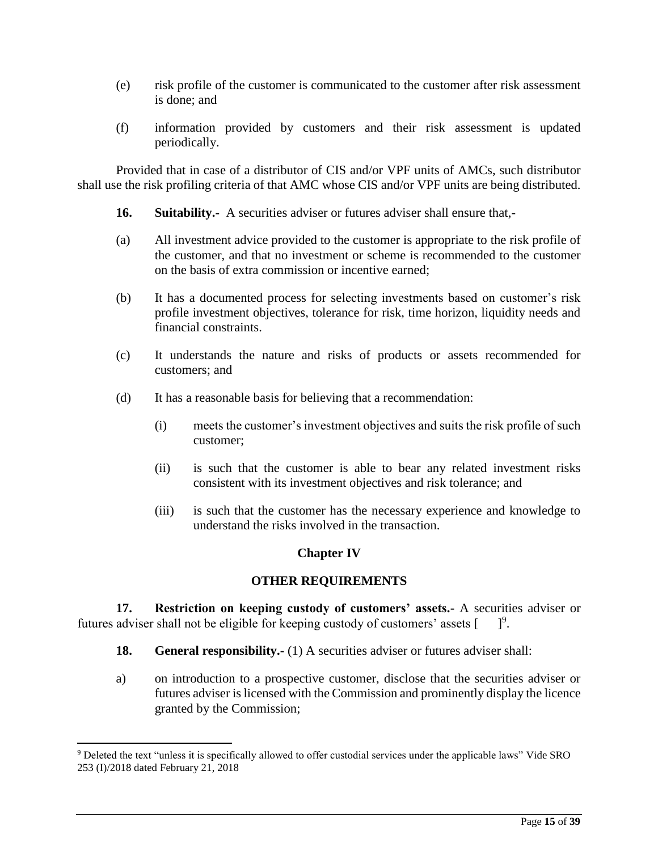- (e) risk profile of the customer is communicated to the customer after risk assessment is done; and
- (f) information provided by customers and their risk assessment is updated periodically.

Provided that in case of a distributor of CIS and/or VPF units of AMCs, such distributor shall use the risk profiling criteria of that AMC whose CIS and/or VPF units are being distributed.

- **16. Suitability.-** A securities adviser or futures adviser shall ensure that,-
- (a) All investment advice provided to the customer is appropriate to the risk profile of the customer, and that no investment or scheme is recommended to the customer on the basis of extra commission or incentive earned;
- (b) It has a documented process for selecting investments based on customer's risk profile investment objectives, tolerance for risk, time horizon, liquidity needs and financial constraints.
- (c) It understands the nature and risks of products or assets recommended for customers; and
- (d) It has a reasonable basis for believing that a recommendation:
	- (i) meets the customer's investment objectives and suits the risk profile of such customer;
	- (ii) is such that the customer is able to bear any related investment risks consistent with its investment objectives and risk tolerance; and
	- (iii) is such that the customer has the necessary experience and knowledge to understand the risks involved in the transaction.

# **Chapter IV**

# **OTHER REQUIREMENTS**

**17. Restriction on keeping custody of customers' assets.-** A securities adviser or futures adviser shall not be eligible for keeping custody of customers' assets [  $1^9$ .

- **18. General responsibility.-** (1) A securities adviser or futures adviser shall:
- a) on introduction to a prospective customer, disclose that the securities adviser or futures adviser is licensed with the Commission and prominently display the licence granted by the Commission;

 $\overline{a}$ 

<sup>9</sup> Deleted the text "unless it is specifically allowed to offer custodial services under the applicable laws" Vide SRO 253 (I)/2018 dated February 21, 2018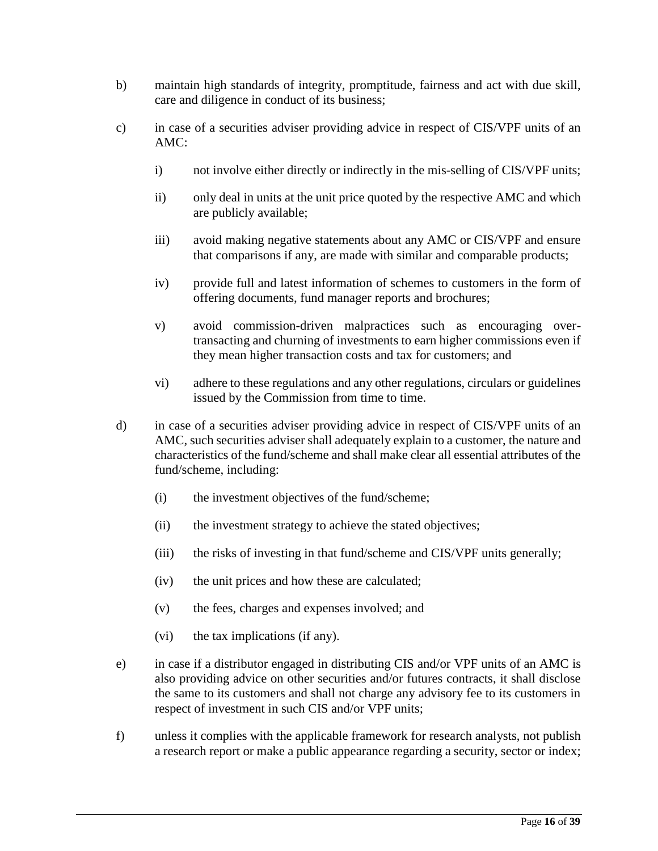- b) maintain high standards of integrity, promptitude, fairness and act with due skill, care and diligence in conduct of its business;
- c) in case of a securities adviser providing advice in respect of CIS/VPF units of an AMC:
	- i) not involve either directly or indirectly in the mis-selling of CIS/VPF units;
	- ii) only deal in units at the unit price quoted by the respective AMC and which are publicly available;
	- iii) avoid making negative statements about any AMC or CIS/VPF and ensure that comparisons if any, are made with similar and comparable products;
	- iv) provide full and latest information of schemes to customers in the form of offering documents, fund manager reports and brochures;
	- v) avoid commission-driven malpractices such as encouraging overtransacting and churning of investments to earn higher commissions even if they mean higher transaction costs and tax for customers; and
	- vi) adhere to these regulations and any other regulations, circulars or guidelines issued by the Commission from time to time.
- d) in case of a securities adviser providing advice in respect of CIS/VPF units of an AMC, such securities adviser shall adequately explain to a customer, the nature and characteristics of the fund/scheme and shall make clear all essential attributes of the fund/scheme, including:
	- (i) the investment objectives of the fund/scheme;
	- (ii) the investment strategy to achieve the stated objectives;
	- (iii) the risks of investing in that fund/scheme and CIS/VPF units generally;
	- (iv) the unit prices and how these are calculated;
	- (v) the fees, charges and expenses involved; and
	- (vi) the tax implications (if any).
- e) in case if a distributor engaged in distributing CIS and/or VPF units of an AMC is also providing advice on other securities and/or futures contracts, it shall disclose the same to its customers and shall not charge any advisory fee to its customers in respect of investment in such CIS and/or VPF units;
- f) unless it complies with the applicable framework for research analysts, not publish a research report or make a public appearance regarding a security, sector or index;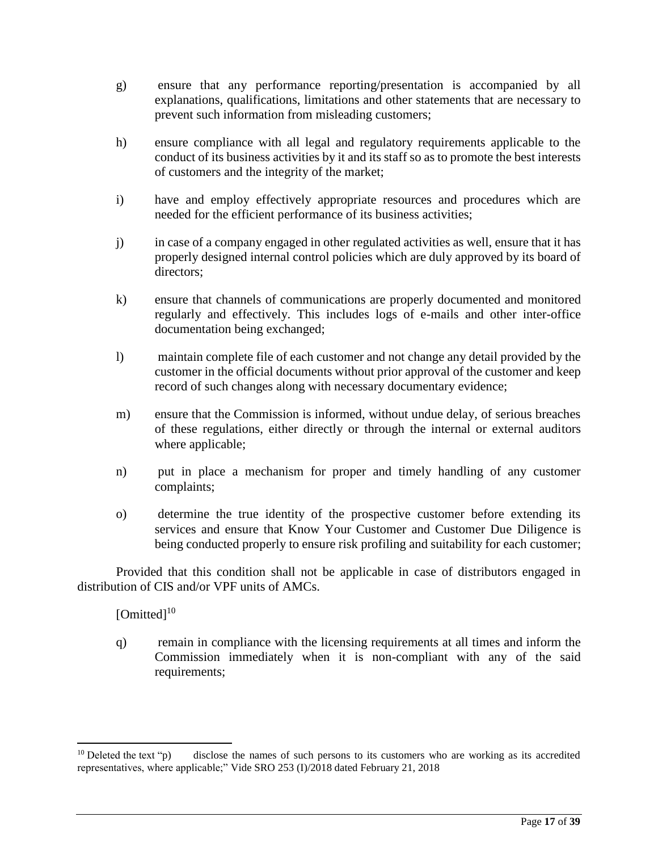- g) ensure that any performance reporting/presentation is accompanied by all explanations, qualifications, limitations and other statements that are necessary to prevent such information from misleading customers;
- h) ensure compliance with all legal and regulatory requirements applicable to the conduct of its business activities by it and its staff so as to promote the best interests of customers and the integrity of the market;
- i) have and employ effectively appropriate resources and procedures which are needed for the efficient performance of its business activities;
- j) in case of a company engaged in other regulated activities as well, ensure that it has properly designed internal control policies which are duly approved by its board of directors;
- k) ensure that channels of communications are properly documented and monitored regularly and effectively. This includes logs of e-mails and other inter-office documentation being exchanged;
- l) maintain complete file of each customer and not change any detail provided by the customer in the official documents without prior approval of the customer and keep record of such changes along with necessary documentary evidence;
- m) ensure that the Commission is informed, without undue delay, of serious breaches of these regulations, either directly or through the internal or external auditors where applicable;
- n) put in place a mechanism for proper and timely handling of any customer complaints;
- o) determine the true identity of the prospective customer before extending its services and ensure that Know Your Customer and Customer Due Diligence is being conducted properly to ensure risk profiling and suitability for each customer;

Provided that this condition shall not be applicable in case of distributors engaged in distribution of CIS and/or VPF units of AMCs.

# [Omitted]<sup>10</sup>

 $\overline{a}$ 

q) remain in compliance with the licensing requirements at all times and inform the Commission immediately when it is non-compliant with any of the said requirements;

<sup>&</sup>lt;sup>10</sup> Deleted the text "p) disclose the names of such persons to its customers who are working as its accredited representatives, where applicable;" Vide SRO 253 (I)/2018 dated February 21, 2018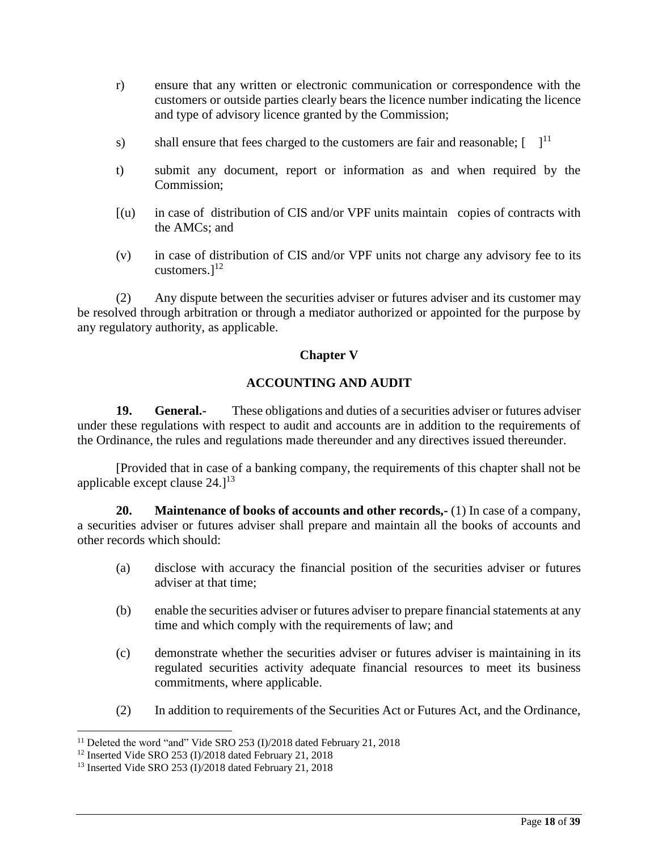- r) ensure that any written or electronic communication or correspondence with the customers or outside parties clearly bears the licence number indicating the licence and type of advisory licence granted by the Commission;
- s) shall ensure that fees charged to the customers are fair and reasonable;  $\begin{bmatrix} 1 & 1 \end{bmatrix}$
- t) submit any document, report or information as and when required by the Commission;
- [(u) in case of distribution of CIS and/or VPF units maintain copies of contracts with the AMCs; and
- (v) in case of distribution of CIS and/or VPF units not charge any advisory fee to its customers. $]^{12}$

(2) Any dispute between the securities adviser or futures adviser and its customer may be resolved through arbitration or through a mediator authorized or appointed for the purpose by any regulatory authority, as applicable.

### **Chapter V**

### **ACCOUNTING AND AUDIT**

**19. General.-** These obligations and duties of a securities adviser or futures adviser under these regulations with respect to audit and accounts are in addition to the requirements of the Ordinance, the rules and regulations made thereunder and any directives issued thereunder.

[Provided that in case of a banking company, the requirements of this chapter shall not be applicable except clause  $24.1^{13}$ 

**20. Maintenance of books of accounts and other records,-** (1) In case of a company, a securities adviser or futures adviser shall prepare and maintain all the books of accounts and other records which should:

- (a) disclose with accuracy the financial position of the securities adviser or futures adviser at that time;
- (b) enable the securities adviser or futures adviser to prepare financial statements at any time and which comply with the requirements of law; and
- (c) demonstrate whether the securities adviser or futures adviser is maintaining in its regulated securities activity adequate financial resources to meet its business commitments, where applicable.
- (2) In addition to requirements of the Securities Act or Futures Act, and the Ordinance,

 $\overline{\phantom{a}}$ <sup>11</sup> Deleted the word "and" Vide SRO 253 (I)/2018 dated February 21, 2018

<sup>12</sup> Inserted Vide SRO 253 (I)/2018 dated February 21, 2018

<sup>13</sup> Inserted Vide SRO 253 (I)/2018 dated February 21, 2018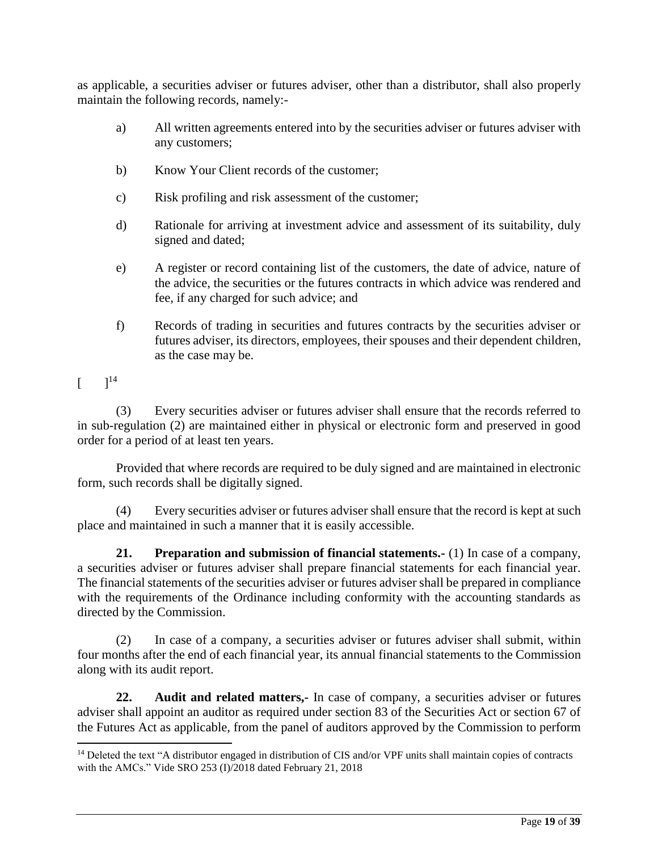as applicable, a securities adviser or futures adviser, other than a distributor, shall also properly maintain the following records, namely:-

- a) All written agreements entered into by the securities adviser or futures adviser with any customers;
- b) Know Your Client records of the customer;
- c) Risk profiling and risk assessment of the customer;
- d) Rationale for arriving at investment advice and assessment of its suitability, duly signed and dated;
- e) A register or record containing list of the customers, the date of advice, nature of the advice, the securities or the futures contracts in which advice was rendered and fee, if any charged for such advice; and
- f) Records of trading in securities and futures contracts by the securities adviser or futures adviser, its directors, employees, their spouses and their dependent children, as the case may be.

 $[$   $]^{14}$ 

 $\overline{a}$ 

(3) Every securities adviser or futures adviser shall ensure that the records referred to in sub-regulation (2) are maintained either in physical or electronic form and preserved in good order for a period of at least ten years.

Provided that where records are required to be duly signed and are maintained in electronic form, such records shall be digitally signed.

(4) Every securities adviser or futures adviser shall ensure that the record is kept at such place and maintained in such a manner that it is easily accessible.

**21. Preparation and submission of financial statements.-** (1) In case of a company, a securities adviser or futures adviser shall prepare financial statements for each financial year. The financial statements of the securities adviser or futures adviser shall be prepared in compliance with the requirements of the Ordinance including conformity with the accounting standards as directed by the Commission.

(2) In case of a company, a securities adviser or futures adviser shall submit, within four months after the end of each financial year, its annual financial statements to the Commission along with its audit report.

**22. Audit and related matters,-** In case of company, a securities adviser or futures adviser shall appoint an auditor as required under section 83 of the Securities Act or section 67 of the Futures Act as applicable, from the panel of auditors approved by the Commission to perform

<sup>&</sup>lt;sup>14</sup> Deleted the text "A distributor engaged in distribution of CIS and/or VPF units shall maintain copies of contracts with the AMCs." Vide SRO 253 (I)/2018 dated February 21, 2018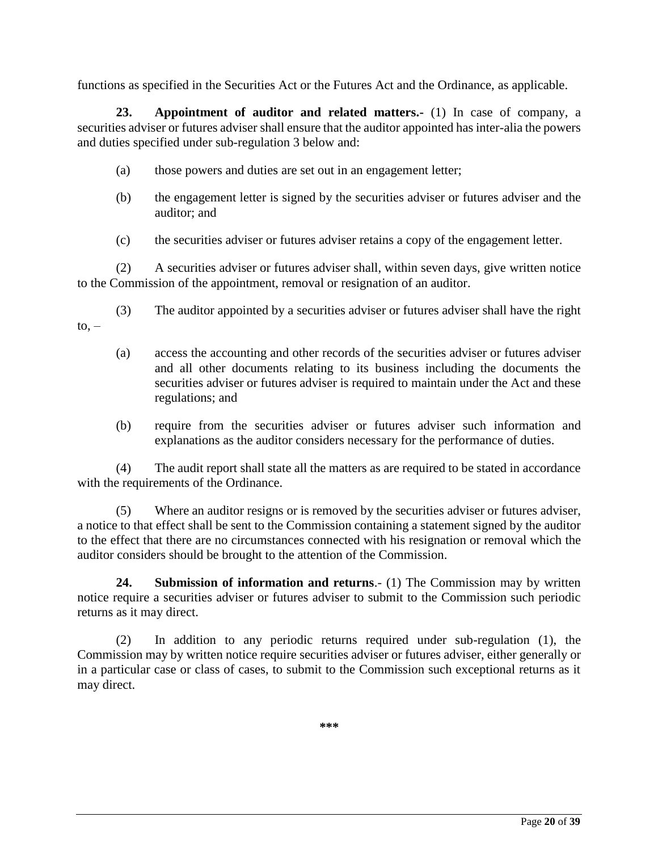functions as specified in the Securities Act or the Futures Act and the Ordinance, as applicable.

**23. Appointment of auditor and related matters.-** (1) In case of company, a securities adviser or futures adviser shall ensure that the auditor appointed has inter-alia the powers and duties specified under sub-regulation 3 below and:

- (a) those powers and duties are set out in an engagement letter;
- (b) the engagement letter is signed by the securities adviser or futures adviser and the auditor; and
- (c) the securities adviser or futures adviser retains a copy of the engagement letter.

(2) A securities adviser or futures adviser shall, within seven days, give written notice to the Commission of the appointment, removal or resignation of an auditor.

- (3) The auditor appointed by a securities adviser or futures adviser shall have the right  $\mathsf{to}$ . –
	- (a) access the accounting and other records of the securities adviser or futures adviser and all other documents relating to its business including the documents the securities adviser or futures adviser is required to maintain under the Act and these regulations; and
	- (b) require from the securities adviser or futures adviser such information and explanations as the auditor considers necessary for the performance of duties.

(4) The audit report shall state all the matters as are required to be stated in accordance with the requirements of the Ordinance.

(5) Where an auditor resigns or is removed by the securities adviser or futures adviser, a notice to that effect shall be sent to the Commission containing a statement signed by the auditor to the effect that there are no circumstances connected with his resignation or removal which the auditor considers should be brought to the attention of the Commission.

**24. Submission of information and returns**.- (1) The Commission may by written notice require a securities adviser or futures adviser to submit to the Commission such periodic returns as it may direct.

(2) In addition to any periodic returns required under sub-regulation (1), the Commission may by written notice require securities adviser or futures adviser, either generally or in a particular case or class of cases, to submit to the Commission such exceptional returns as it may direct.

**\*\*\***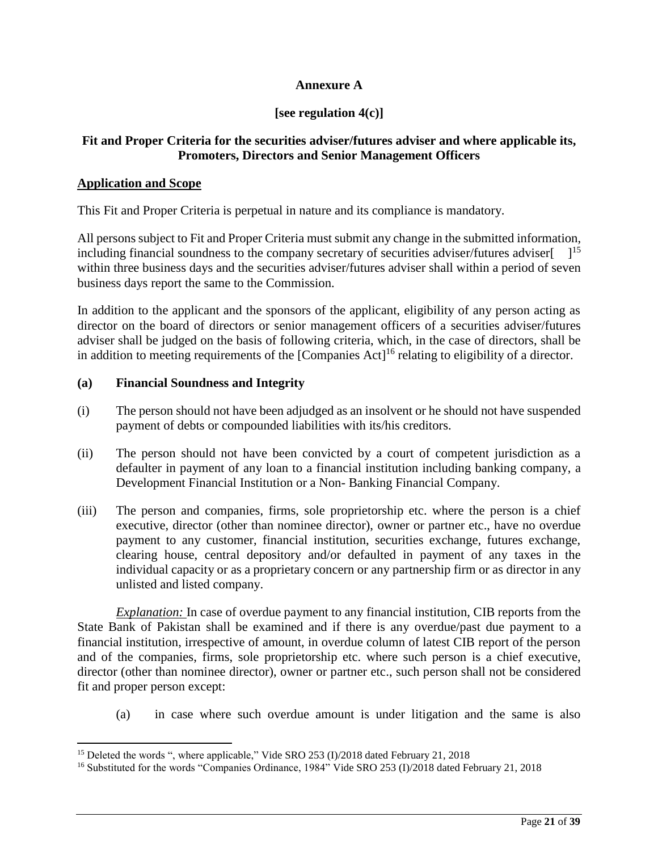# **Annexure A**

### **[see regulation 4(c)]**

### **Fit and Proper Criteria for the securities adviser/futures adviser and where applicable its, Promoters, Directors and Senior Management Officers**

#### **Application and Scope**

 $\overline{a}$ 

This Fit and Proper Criteria is perpetual in nature and its compliance is mandatory.

All persons subject to Fit and Proper Criteria must submit any change in the submitted information, including financial soundness to the company secretary of securities adviser/futures adviser $[$   $]^{15}$ within three business days and the securities adviser/futures adviser shall within a period of seven business days report the same to the Commission.

In addition to the applicant and the sponsors of the applicant, eligibility of any person acting as director on the board of directors or senior management officers of a securities adviser/futures adviser shall be judged on the basis of following criteria, which, in the case of directors, shall be in addition to meeting requirements of the  $[Comparies Act]<sup>16</sup>$  relating to eligibility of a director.

#### **(a) Financial Soundness and Integrity**

- (i) The person should not have been adjudged as an insolvent or he should not have suspended payment of debts or compounded liabilities with its/his creditors.
- (ii) The person should not have been convicted by a court of competent jurisdiction as a defaulter in payment of any loan to a financial institution including banking company, a Development Financial Institution or a Non- Banking Financial Company.
- (iii) The person and companies, firms, sole proprietorship etc. where the person is a chief executive, director (other than nominee director), owner or partner etc., have no overdue payment to any customer, financial institution, securities exchange, futures exchange, clearing house, central depository and/or defaulted in payment of any taxes in the individual capacity or as a proprietary concern or any partnership firm or as director in any unlisted and listed company.

*Explanation:* In case of overdue payment to any financial institution, CIB reports from the State Bank of Pakistan shall be examined and if there is any overdue/past due payment to a financial institution, irrespective of amount, in overdue column of latest CIB report of the person and of the companies, firms, sole proprietorship etc. where such person is a chief executive, director (other than nominee director), owner or partner etc., such person shall not be considered fit and proper person except:

(a) in case where such overdue amount is under litigation and the same is also

<sup>&</sup>lt;sup>15</sup> Deleted the words ", where applicable," Vide SRO 253 (I)/2018 dated February 21, 2018

<sup>16</sup> Substituted for the words "Companies Ordinance, 1984" Vide SRO 253 (I)/2018 dated February 21, 2018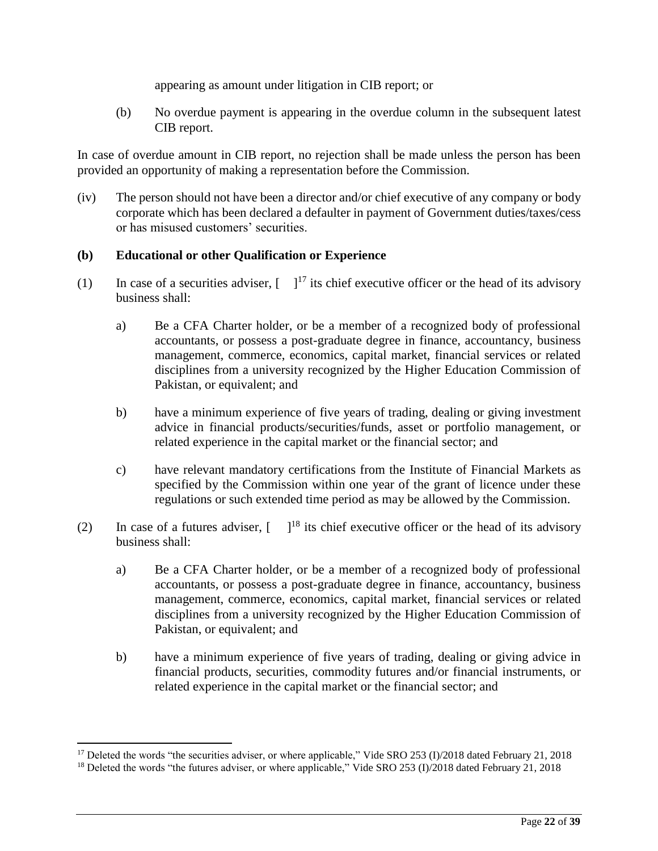appearing as amount under litigation in CIB report; or

(b) No overdue payment is appearing in the overdue column in the subsequent latest CIB report.

In case of overdue amount in CIB report, no rejection shall be made unless the person has been provided an opportunity of making a representation before the Commission.

(iv) The person should not have been a director and/or chief executive of any company or body corporate which has been declared a defaulter in payment of Government duties/taxes/cess or has misused customers' securities.

### **(b) Educational or other Qualification or Experience**

- (1) In case of a securities adviser,  $\begin{bmatrix} 1^{17} \\ 1^{17} \end{bmatrix}$  its chief executive officer or the head of its advisory business shall:
	- a) Be a CFA Charter holder, or be a member of a recognized body of professional accountants, or possess a post-graduate degree in finance, accountancy, business management, commerce, economics, capital market, financial services or related disciplines from a university recognized by the Higher Education Commission of Pakistan, or equivalent; and
	- b) have a minimum experience of five years of trading, dealing or giving investment advice in financial products/securities/funds, asset or portfolio management, or related experience in the capital market or the financial sector; and
	- c) have relevant mandatory certifications from the Institute of Financial Markets as specified by the Commission within one year of the grant of licence under these regulations or such extended time period as may be allowed by the Commission.
- (2) In case of a futures adviser,  $\begin{bmatrix} 1^{18} \\ 1^{18} \end{bmatrix}$  its chief executive officer or the head of its advisory business shall:
	- a) Be a CFA Charter holder, or be a member of a recognized body of professional accountants, or possess a post-graduate degree in finance, accountancy, business management, commerce, economics, capital market, financial services or related disciplines from a university recognized by the Higher Education Commission of Pakistan, or equivalent; and
	- b) have a minimum experience of five years of trading, dealing or giving advice in financial products, securities, commodity futures and/or financial instruments, or related experience in the capital market or the financial sector; and

 $\overline{a}$ 

<sup>&</sup>lt;sup>17</sup> Deleted the words "the securities adviser, or where applicable," Vide SRO 253 (I)/2018 dated February 21, 2018

<sup>&</sup>lt;sup>18</sup> Deleted the words "the futures adviser, or where applicable," Vide SRO 253 (I)/2018 dated February 21, 2018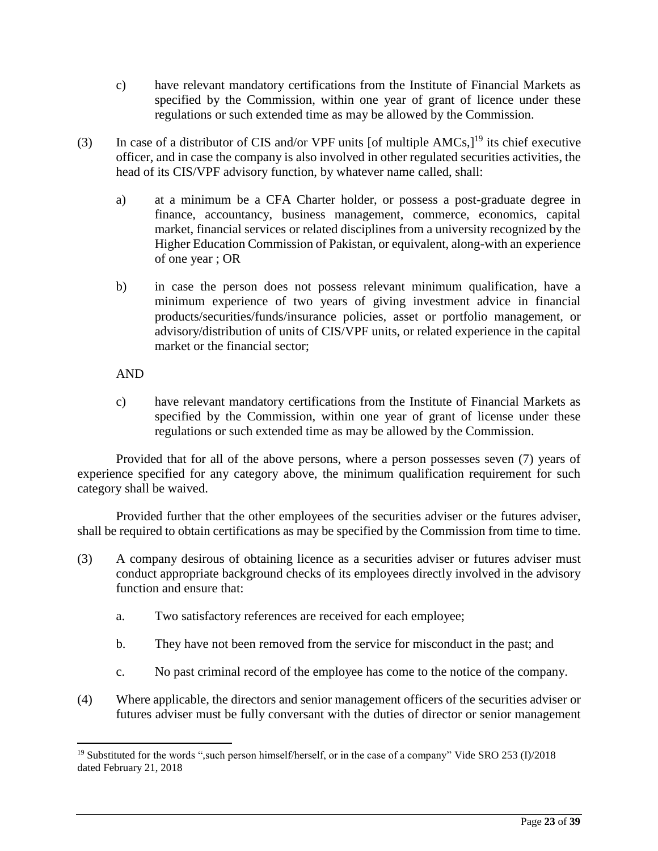- c) have relevant mandatory certifications from the Institute of Financial Markets as specified by the Commission, within one year of grant of licence under these regulations or such extended time as may be allowed by the Commission.
- (3) In case of a distributor of CIS and/or VPF units [of multiple  $AMCs$ ,]<sup>19</sup> its chief executive officer, and in case the company is also involved in other regulated securities activities, the head of its CIS/VPF advisory function, by whatever name called, shall:
	- a) at a minimum be a CFA Charter holder, or possess a post-graduate degree in finance, accountancy, business management, commerce, economics, capital market, financial services or related disciplines from a university recognized by the Higher Education Commission of Pakistan, or equivalent, along-with an experience of one year ; OR
	- b) in case the person does not possess relevant minimum qualification, have a minimum experience of two years of giving investment advice in financial products/securities/funds/insurance policies, asset or portfolio management, or advisory/distribution of units of CIS/VPF units, or related experience in the capital market or the financial sector;

### AND

 $\overline{a}$ 

c) have relevant mandatory certifications from the Institute of Financial Markets as specified by the Commission, within one year of grant of license under these regulations or such extended time as may be allowed by the Commission.

Provided that for all of the above persons, where a person possesses seven (7) years of experience specified for any category above, the minimum qualification requirement for such category shall be waived.

Provided further that the other employees of the securities adviser or the futures adviser, shall be required to obtain certifications as may be specified by the Commission from time to time.

- (3) A company desirous of obtaining licence as a securities adviser or futures adviser must conduct appropriate background checks of its employees directly involved in the advisory function and ensure that:
	- a. Two satisfactory references are received for each employee;
	- b. They have not been removed from the service for misconduct in the past; and
	- c. No past criminal record of the employee has come to the notice of the company.
- (4) Where applicable, the directors and senior management officers of the securities adviser or futures adviser must be fully conversant with the duties of director or senior management

<sup>19</sup> Substituted for the words ",such person himself/herself, or in the case of a company" Vide SRO 253 (I)/2018 dated February 21, 2018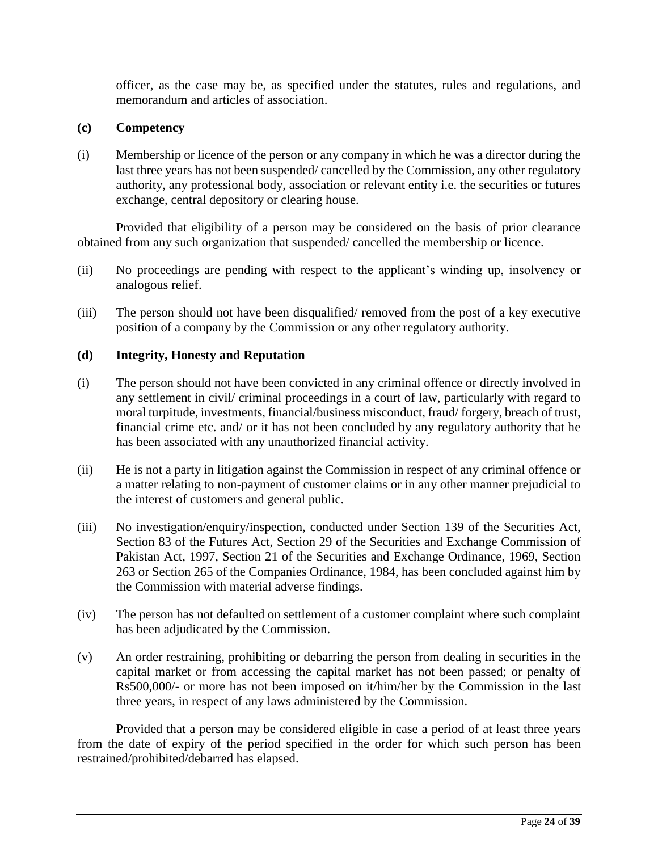officer, as the case may be, as specified under the statutes, rules and regulations, and memorandum and articles of association.

### **(c) Competency**

(i) Membership or licence of the person or any company in which he was a director during the last three years has not been suspended/ cancelled by the Commission, any other regulatory authority, any professional body, association or relevant entity i.e. the securities or futures exchange, central depository or clearing house.

Provided that eligibility of a person may be considered on the basis of prior clearance obtained from any such organization that suspended/ cancelled the membership or licence.

- (ii) No proceedings are pending with respect to the applicant's winding up, insolvency or analogous relief.
- (iii) The person should not have been disqualified/ removed from the post of a key executive position of a company by the Commission or any other regulatory authority.

### **(d) Integrity, Honesty and Reputation**

- (i) The person should not have been convicted in any criminal offence or directly involved in any settlement in civil/ criminal proceedings in a court of law, particularly with regard to moral turpitude, investments, financial/business misconduct, fraud/ forgery, breach of trust, financial crime etc. and/ or it has not been concluded by any regulatory authority that he has been associated with any unauthorized financial activity.
- (ii) He is not a party in litigation against the Commission in respect of any criminal offence or a matter relating to non-payment of customer claims or in any other manner prejudicial to the interest of customers and general public.
- (iii) No investigation/enquiry/inspection, conducted under Section 139 of the Securities Act, Section 83 of the Futures Act, Section 29 of the Securities and Exchange Commission of Pakistan Act, 1997, Section 21 of the Securities and Exchange Ordinance, 1969, Section 263 or Section 265 of the Companies Ordinance, 1984, has been concluded against him by the Commission with material adverse findings.
- (iv) The person has not defaulted on settlement of a customer complaint where such complaint has been adjudicated by the Commission.
- (v) An order restraining, prohibiting or debarring the person from dealing in securities in the capital market or from accessing the capital market has not been passed; or penalty of Rs500,000/- or more has not been imposed on it/him/her by the Commission in the last three years, in respect of any laws administered by the Commission.

Provided that a person may be considered eligible in case a period of at least three years from the date of expiry of the period specified in the order for which such person has been restrained/prohibited/debarred has elapsed.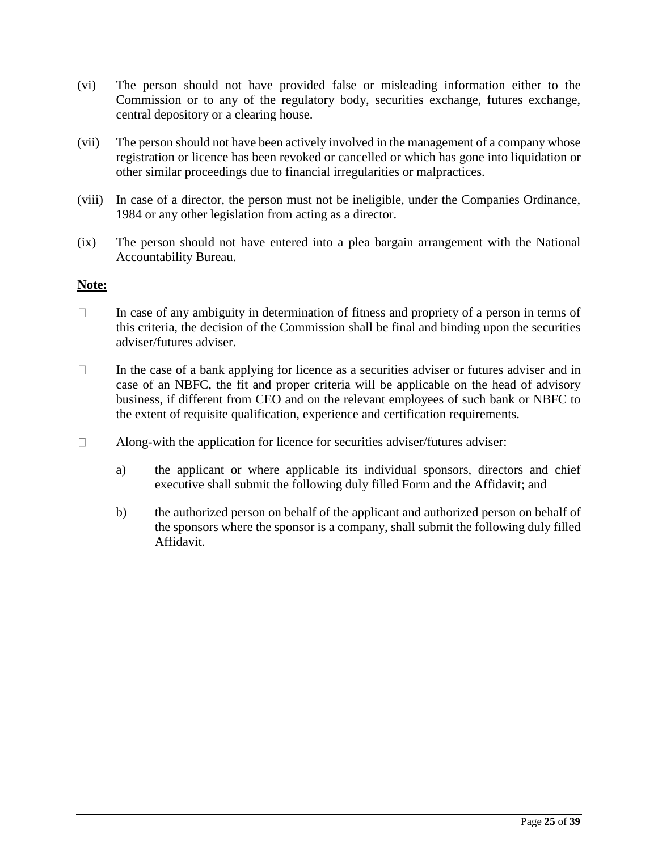- (vi) The person should not have provided false or misleading information either to the Commission or to any of the regulatory body, securities exchange, futures exchange, central depository or a clearing house.
- (vii) The person should not have been actively involved in the management of a company whose registration or licence has been revoked or cancelled or which has gone into liquidation or other similar proceedings due to financial irregularities or malpractices.
- (viii) In case of a director, the person must not be ineligible, under the Companies Ordinance, 1984 or any other legislation from acting as a director.
- (ix) The person should not have entered into a plea bargain arrangement with the National Accountability Bureau.

### **Note:**

- $\Box$ In case of any ambiguity in determination of fitness and propriety of a person in terms of this criteria, the decision of the Commission shall be final and binding upon the securities adviser/futures adviser.
- $\Box$ In the case of a bank applying for licence as a securities adviser or futures adviser and in case of an NBFC, the fit and proper criteria will be applicable on the head of advisory business, if different from CEO and on the relevant employees of such bank or NBFC to the extent of requisite qualification, experience and certification requirements.
- $\Box$ Along-with the application for licence for securities adviser/futures adviser:
	- a) the applicant or where applicable its individual sponsors, directors and chief executive shall submit the following duly filled Form and the Affidavit; and
	- b) the authorized person on behalf of the applicant and authorized person on behalf of the sponsors where the sponsor is a company, shall submit the following duly filled Affidavit.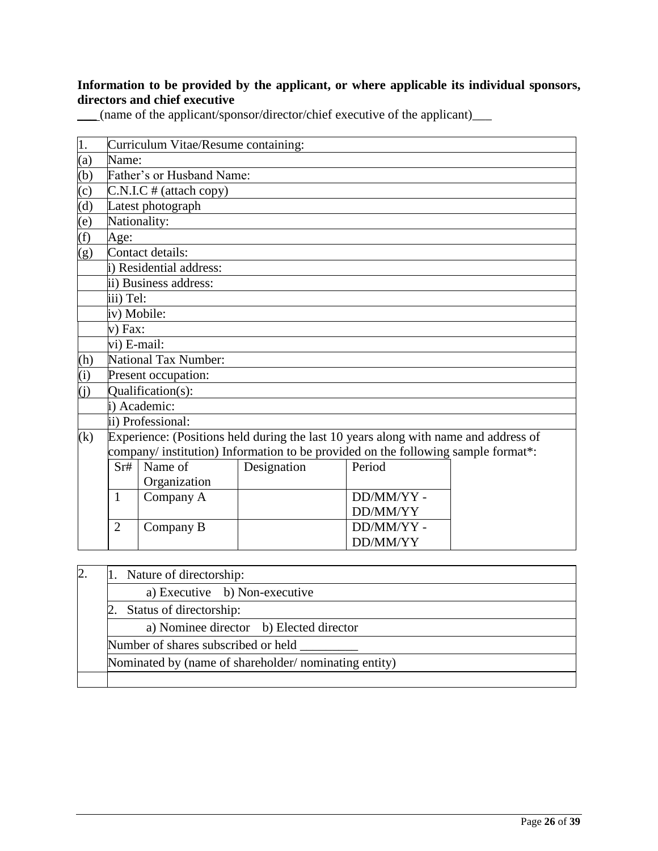### **Information to be provided by the applicant, or where applicable its individual sponsors, directors and chief executive**

\_\_\_ (name of the applicant/sponsor/director/chief executive of the applicant)\_\_\_

| 1.                          | Curriculum Vitae/Resume containing:                                                 |                         |             |           |  |  |
|-----------------------------|-------------------------------------------------------------------------------------|-------------------------|-------------|-----------|--|--|
| (a)                         | Name:                                                                               |                         |             |           |  |  |
| (b)                         | Father's or Husband Name:                                                           |                         |             |           |  |  |
| $\left( c\right)$           |                                                                                     | C.N.I.C # (attach copy) |             |           |  |  |
| $\overline{d}$              |                                                                                     | Latest photograph       |             |           |  |  |
| (e)                         |                                                                                     | Nationality:            |             |           |  |  |
| $\overline{f}$              | Age:                                                                                |                         |             |           |  |  |
| (g)                         | Contact details:                                                                    |                         |             |           |  |  |
|                             | i) Residential address:                                                             |                         |             |           |  |  |
|                             |                                                                                     | ii) Business address:   |             |           |  |  |
|                             | iii) Tel:                                                                           |                         |             |           |  |  |
|                             |                                                                                     | iv) Mobile:             |             |           |  |  |
|                             | $v)$ Fax:                                                                           |                         |             |           |  |  |
|                             | vi) E-mail:                                                                         |                         |             |           |  |  |
| (h)                         | National Tax Number:                                                                |                         |             |           |  |  |
| (i)                         | Present occupation:                                                                 |                         |             |           |  |  |
| $\overline{(\mathfrak{j})}$ | Qualification(s):                                                                   |                         |             |           |  |  |
|                             | i) Academic:                                                                        |                         |             |           |  |  |
|                             |                                                                                     | ii) Professional:       |             |           |  |  |
| (k)                         | Experience: (Positions held during the last 10 years along with name and address of |                         |             |           |  |  |
|                             | company/ institution) Information to be provided on the following sample format*:   |                         |             |           |  |  |
|                             | Sr#                                                                                 | Name of                 | Designation | Period    |  |  |
|                             |                                                                                     | Organization            |             |           |  |  |
|                             | 1                                                                                   | Company A               |             | DD/MM/YY- |  |  |
|                             |                                                                                     |                         |             | DD/MM/YY  |  |  |
|                             | $\overline{2}$                                                                      | Company B               |             | DD/MM/YY- |  |  |
|                             |                                                                                     |                         |             | DD/MM/YY  |  |  |
|                             |                                                                                     |                         |             |           |  |  |

| $\overline{2}$                                       | 1. Nature of directorship:              |                                     |  |  |
|------------------------------------------------------|-----------------------------------------|-------------------------------------|--|--|
|                                                      |                                         | a) Executive b) Non-executive       |  |  |
| Status of directorship:                              |                                         |                                     |  |  |
|                                                      | a) Nominee director b) Elected director |                                     |  |  |
|                                                      |                                         | Number of shares subscribed or held |  |  |
| Nominated by (name of shareholder/nominating entity) |                                         |                                     |  |  |
|                                                      |                                         |                                     |  |  |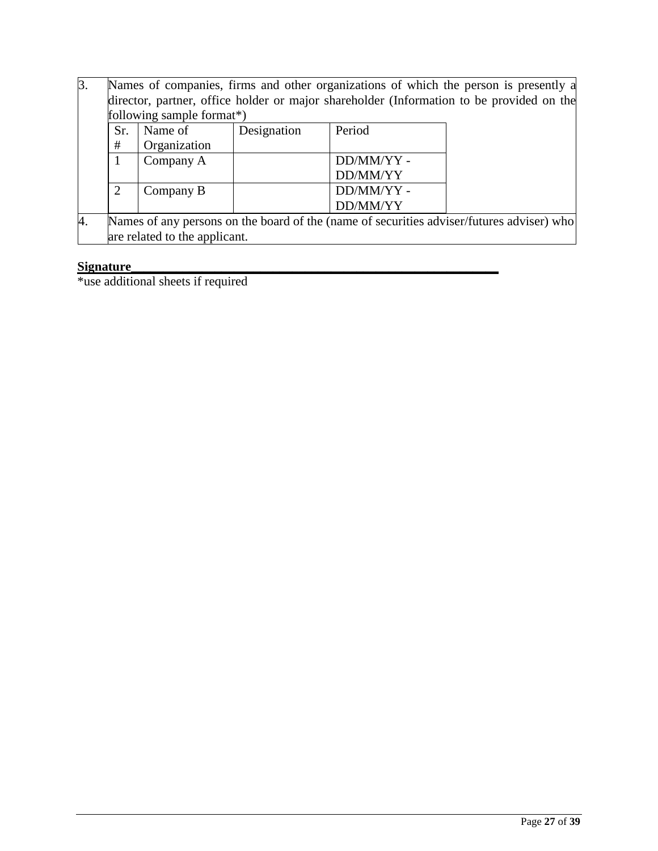| $\beta$ . | Names of companies, firms and other organizations of which the person is presently a      |              |             |            |  |  |  |
|-----------|-------------------------------------------------------------------------------------------|--------------|-------------|------------|--|--|--|
|           | director, partner, office holder or major shareholder (Information to be provided on the  |              |             |            |  |  |  |
|           | following sample format*)                                                                 |              |             |            |  |  |  |
|           | Sr.                                                                                       | Name of      | Designation | Period     |  |  |  |
|           | #                                                                                         | Organization |             |            |  |  |  |
|           |                                                                                           | Company A    |             | DD/MM/YY - |  |  |  |
|           |                                                                                           |              |             | DD/MM/YY   |  |  |  |
|           | 2                                                                                         | Company B    |             | DD/MM/YY-  |  |  |  |
|           |                                                                                           |              |             | DD/MM/YY   |  |  |  |
| 4.        | Names of any persons on the board of the (name of securities adviser/futures adviser) who |              |             |            |  |  |  |
|           | are related to the applicant.                                                             |              |             |            |  |  |  |

### **Signature**

\*use additional sheets if required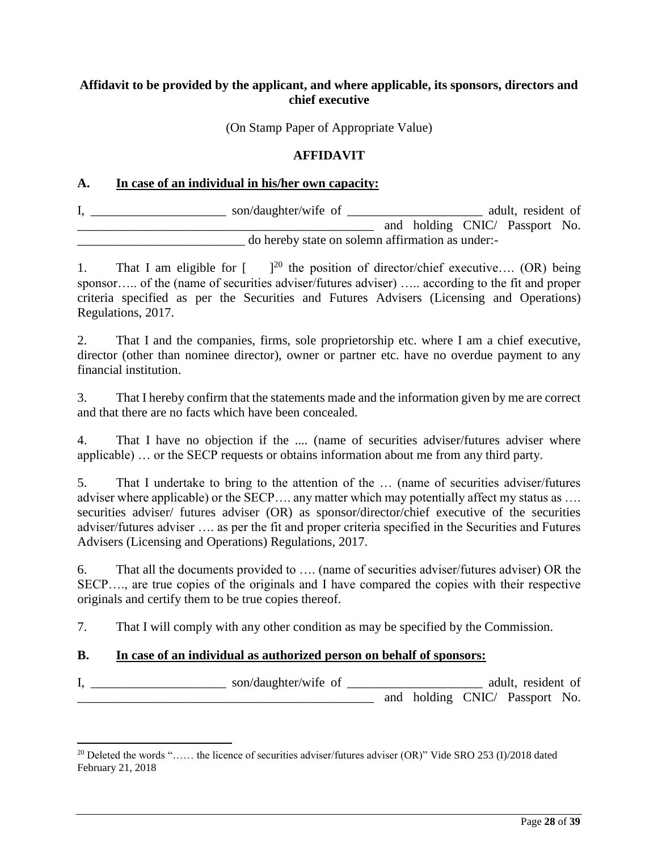# **Affidavit to be provided by the applicant, and where applicable, its sponsors, directors and chief executive**

(On Stamp Paper of Appropriate Value)

#### **AFFIDAVIT**

#### **A. In case of an individual in his/her own capacity:**

| son/daughter/wife of                             |  | adult, resident of             |  |
|--------------------------------------------------|--|--------------------------------|--|
|                                                  |  | and holding CNIC/ Passport No. |  |
| do hereby state on solemn affirmation as under:- |  |                                |  |

1. That I am eligible for  $\int_{0}^{20}$  the position of director/chief executive.... (OR) being sponsor….. of the (name of securities adviser/futures adviser) ….. according to the fit and proper criteria specified as per the Securities and Futures Advisers (Licensing and Operations) Regulations, 2017.

2. That I and the companies, firms, sole proprietorship etc. where I am a chief executive, director (other than nominee director), owner or partner etc. have no overdue payment to any financial institution.

3. That I hereby confirm that the statements made and the information given by me are correct and that there are no facts which have been concealed.

4. That I have no objection if the .... (name of securities adviser/futures adviser where applicable) … or the SECP requests or obtains information about me from any third party.

5. That I undertake to bring to the attention of the … (name of securities adviser/futures adviser where applicable) or the SECP.... any matter which may potentially affect my status as .... securities adviser/ futures adviser (OR) as sponsor/director/chief executive of the securities adviser/futures adviser …. as per the fit and proper criteria specified in the Securities and Futures Advisers (Licensing and Operations) Regulations, 2017.

6. That all the documents provided to …. (name of securities adviser/futures adviser) OR the SECP…., are true copies of the originals and I have compared the copies with their respective originals and certify them to be true copies thereof.

7. That I will comply with any other condition as may be specified by the Commission.

### **B. In case of an individual as authorized person on behalf of sponsors:**

 $\overline{a}$ 

I, \_\_\_\_\_\_\_\_\_\_\_\_\_\_\_\_\_\_\_\_\_\_\_\_\_ son/daughter/wife of \_\_\_\_\_\_\_\_\_\_\_\_\_\_\_\_\_\_\_\_\_\_\_\_\_\_\_\_\_\_\_ adult, resident of and holding CNIC/ Passport No.

<sup>&</sup>lt;sup>20</sup> Deleted the words "…… the licence of securities adviser/futures adviser (OR)" Vide SRO 253 (I)/2018 dated February 21, 2018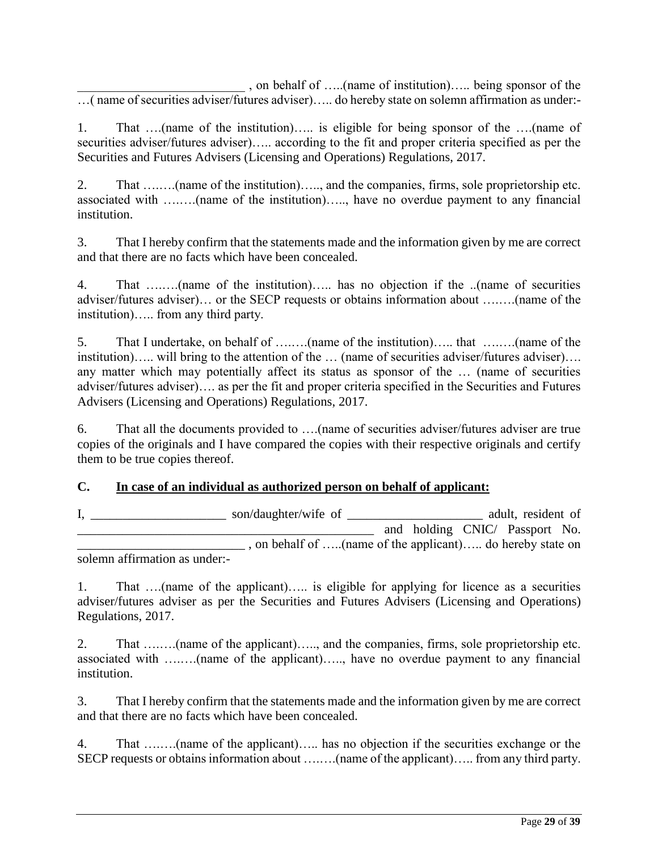\_\_\_\_\_\_\_\_\_\_\_\_\_\_\_\_\_\_\_\_\_\_\_\_\_\_ , on behalf of …..(name of institution)….. being sponsor of the …( name of securities adviser/futures adviser)….. do hereby state on solemn affirmation as under:-

1. That ….(name of the institution)….. is eligible for being sponsor of the ….(name of securities adviser/futures adviser)….. according to the fit and proper criteria specified as per the Securities and Futures Advisers (Licensing and Operations) Regulations, 2017.

2. That ….….(name of the institution)….., and the companies, firms, sole proprietorship etc. associated with ….….(name of the institution)….., have no overdue payment to any financial institution.

3. That I hereby confirm that the statements made and the information given by me are correct and that there are no facts which have been concealed.

4. That ….….(name of the institution)….. has no objection if the ..(name of securities adviser/futures adviser)… or the SECP requests or obtains information about ….….(name of the institution)….. from any third party.

5. That I undertake, on behalf of ….….(name of the institution)….. that ….….(name of the institution)….. will bring to the attention of the … (name of securities adviser/futures adviser)…. any matter which may potentially affect its status as sponsor of the … (name of securities adviser/futures adviser)…. as per the fit and proper criteria specified in the Securities and Futures Advisers (Licensing and Operations) Regulations, 2017.

6. That all the documents provided to ….(name of securities adviser/futures adviser are true copies of the originals and I have compared the copies with their respective originals and certify them to be true copies thereof.

### **C. In case of an individual as authorized person on behalf of applicant:**

|                               | son/daughter/wife of                                    |  |  | adult, resident of |                                |  |  |
|-------------------------------|---------------------------------------------------------|--|--|--------------------|--------------------------------|--|--|
|                               |                                                         |  |  |                    | and holding CNIC/ Passport No. |  |  |
|                               | on behalf of (name of the applicant) do hereby state on |  |  |                    |                                |  |  |
| solemn affirmation as under:- |                                                         |  |  |                    |                                |  |  |

1. That ….(name of the applicant)….. is eligible for applying for licence as a securities adviser/futures adviser as per the Securities and Futures Advisers (Licensing and Operations) Regulations, 2017.

2. That ….….(name of the applicant)….., and the companies, firms, sole proprietorship etc. associated with ….….(name of the applicant)….., have no overdue payment to any financial institution.

3. That I hereby confirm that the statements made and the information given by me are correct and that there are no facts which have been concealed.

4. That ….….(name of the applicant)….. has no objection if the securities exchange or the SECP requests or obtains information about ….….(name of the applicant)….. from any third party.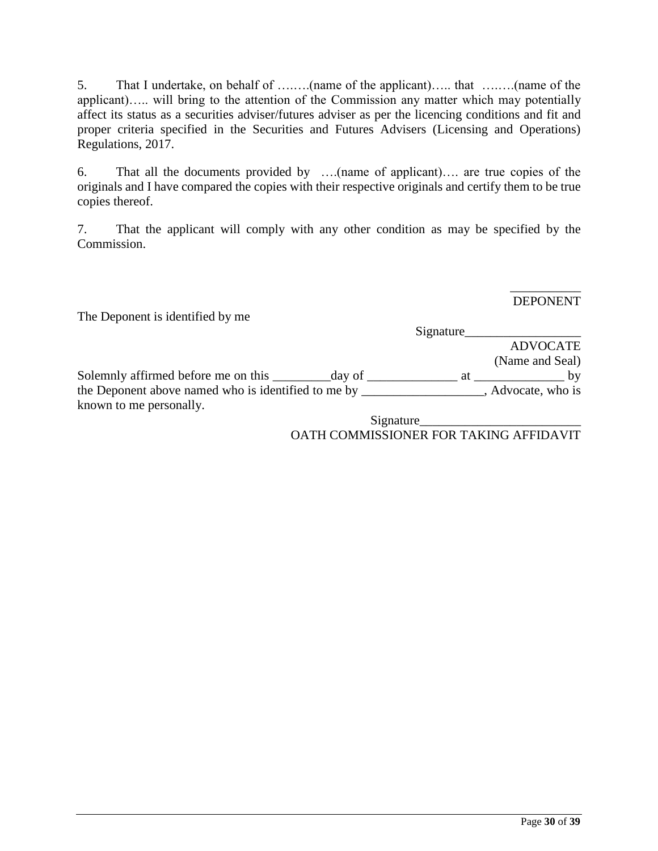5. That I undertake, on behalf of ….….(name of the applicant)….. that ….….(name of the applicant)….. will bring to the attention of the Commission any matter which may potentially affect its status as a securities adviser/futures adviser as per the licencing conditions and fit and proper criteria specified in the Securities and Futures Advisers (Licensing and Operations) Regulations, 2017.

6. That all the documents provided by ….(name of applicant)…. are true copies of the originals and I have compared the copies with their respective originals and certify them to be true copies thereof.

7. That the applicant will comply with any other condition as may be specified by the Commission.

> \_\_\_\_\_\_\_\_\_\_\_ DEPONENT

The Deponent is identified by me Signature\_\_\_\_\_\_\_\_\_\_\_\_\_\_\_\_\_\_ ADVOCATE (Name and Seal) Solemnly affirmed before me on this \_\_\_\_\_\_\_\_\_\_day of \_\_\_\_\_\_\_\_\_\_\_\_\_\_\_\_\_\_\_\_\_\_\_\_\_\_\_\_ by the Deponent above named who is identified to me by  $\qquad \qquad$ , Advocate, who is known to me personally. Signature\_\_\_\_\_\_\_\_\_\_\_\_\_\_\_\_\_\_\_\_\_\_\_\_\_

OATH COMMISSIONER FOR TAKING AFFIDAVIT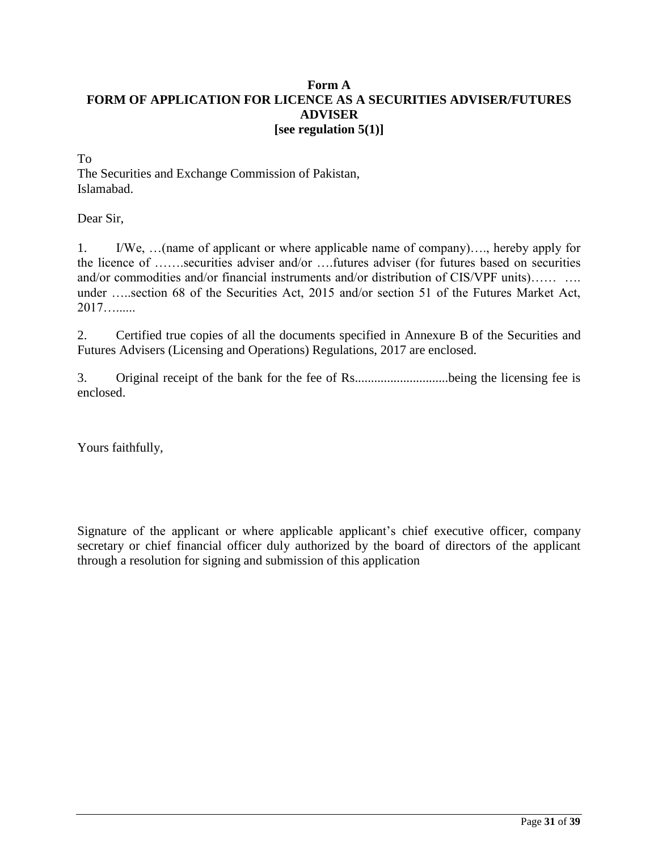### **Form A FORM OF APPLICATION FOR LICENCE AS A SECURITIES ADVISER/FUTURES ADVISER [see regulation 5(1)]**

To

The Securities and Exchange Commission of Pakistan, Islamabad.

Dear Sir,

1. I/We, …(name of applicant or where applicable name of company)…., hereby apply for the licence of …….securities adviser and/or ….futures adviser (for futures based on securities and/or commodities and/or financial instruments and/or distribution of CIS/VPF units)…… …. under …..section 68 of the Securities Act, 2015 and/or section 51 of the Futures Market Act, 2017…......

2. Certified true copies of all the documents specified in Annexure B of the Securities and Futures Advisers (Licensing and Operations) Regulations, 2017 are enclosed.

3. Original receipt of the bank for the fee of Rs.............................being the licensing fee is enclosed.

Yours faithfully,

Signature of the applicant or where applicable applicant's chief executive officer, company secretary or chief financial officer duly authorized by the board of directors of the applicant through a resolution for signing and submission of this application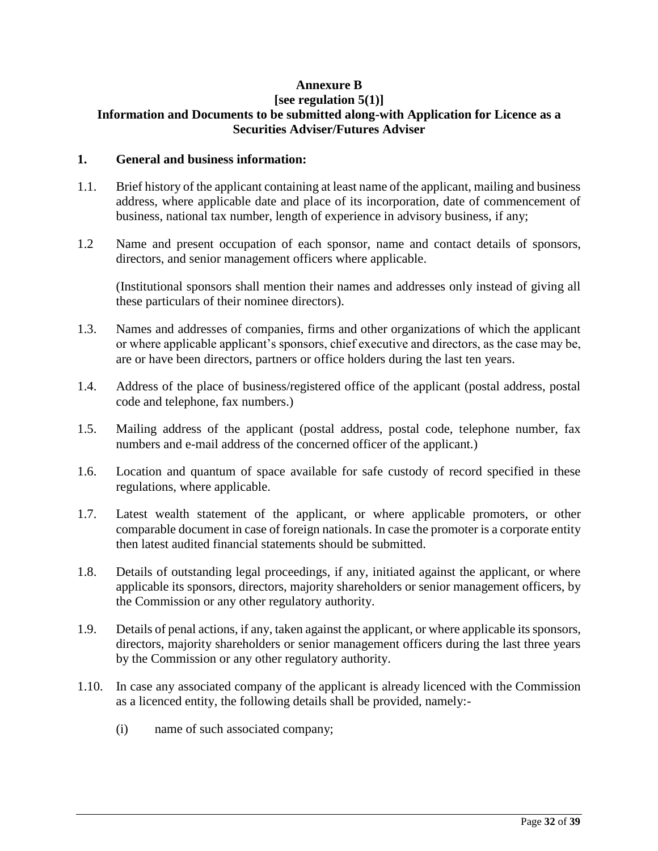# **Annexure B**

#### **[see regulation 5(1)] Information and Documents to be submitted along-with Application for Licence as a Securities Adviser/Futures Adviser**

### **1. General and business information:**

- 1.1. Brief history of the applicant containing at least name of the applicant, mailing and business address, where applicable date and place of its incorporation, date of commencement of business, national tax number, length of experience in advisory business, if any;
- 1.2 Name and present occupation of each sponsor, name and contact details of sponsors, directors, and senior management officers where applicable.

(Institutional sponsors shall mention their names and addresses only instead of giving all these particulars of their nominee directors).

- 1.3. Names and addresses of companies, firms and other organizations of which the applicant or where applicable applicant's sponsors, chief executive and directors, as the case may be, are or have been directors, partners or office holders during the last ten years.
- 1.4. Address of the place of business/registered office of the applicant (postal address, postal code and telephone, fax numbers.)
- 1.5. Mailing address of the applicant (postal address, postal code, telephone number, fax numbers and e-mail address of the concerned officer of the applicant.)
- 1.6. Location and quantum of space available for safe custody of record specified in these regulations, where applicable.
- 1.7. Latest wealth statement of the applicant, or where applicable promoters, or other comparable document in case of foreign nationals. In case the promoter is a corporate entity then latest audited financial statements should be submitted.
- 1.8. Details of outstanding legal proceedings, if any, initiated against the applicant, or where applicable its sponsors, directors, majority shareholders or senior management officers, by the Commission or any other regulatory authority.
- 1.9. Details of penal actions, if any, taken against the applicant, or where applicable its sponsors, directors, majority shareholders or senior management officers during the last three years by the Commission or any other regulatory authority.
- 1.10. In case any associated company of the applicant is already licenced with the Commission as a licenced entity, the following details shall be provided, namely:-
	- (i) name of such associated company;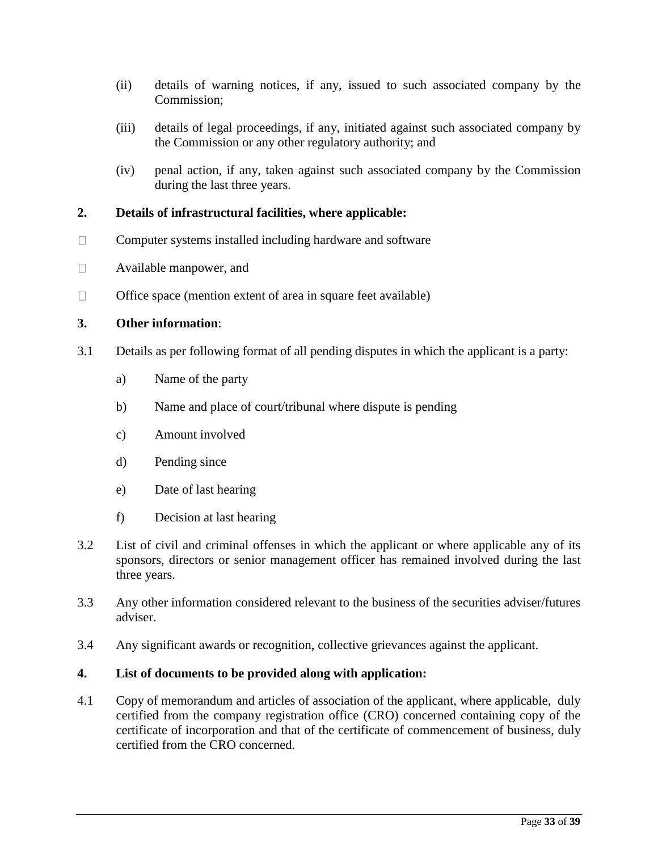- (ii) details of warning notices, if any, issued to such associated company by the Commission;
- (iii) details of legal proceedings, if any, initiated against such associated company by the Commission or any other regulatory authority; and
- (iv) penal action, if any, taken against such associated company by the Commission during the last three years.

### **2. Details of infrastructural facilities, where applicable:**

- Computer systems installed including hardware and software  $\Box$
- $\Box$ Available manpower, and
- $\Box$ Office space (mention extent of area in square feet available)

### **3. Other information**:

- 3.1 Details as per following format of all pending disputes in which the applicant is a party:
	- a) Name of the party
	- b) Name and place of court/tribunal where dispute is pending
	- c) Amount involved
	- d) Pending since
	- e) Date of last hearing
	- f) Decision at last hearing
- 3.2 List of civil and criminal offenses in which the applicant or where applicable any of its sponsors, directors or senior management officer has remained involved during the last three years.
- 3.3 Any other information considered relevant to the business of the securities adviser/futures adviser.
- 3.4 Any significant awards or recognition, collective grievances against the applicant.

### **4. List of documents to be provided along with application:**

4.1 Copy of memorandum and articles of association of the applicant, where applicable, duly certified from the company registration office (CRO) concerned containing copy of the certificate of incorporation and that of the certificate of commencement of business, duly certified from the CRO concerned.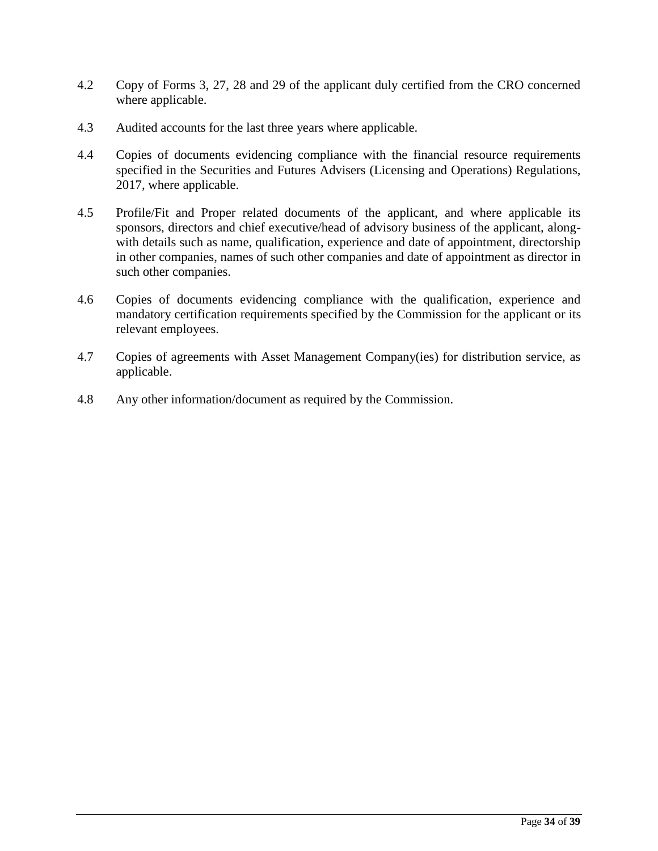- 4.2 Copy of Forms 3, 27, 28 and 29 of the applicant duly certified from the CRO concerned where applicable.
- 4.3 Audited accounts for the last three years where applicable.
- 4.4 Copies of documents evidencing compliance with the financial resource requirements specified in the Securities and Futures Advisers (Licensing and Operations) Regulations, 2017, where applicable.
- 4.5 Profile/Fit and Proper related documents of the applicant, and where applicable its sponsors, directors and chief executive/head of advisory business of the applicant, alongwith details such as name, qualification, experience and date of appointment, directorship in other companies, names of such other companies and date of appointment as director in such other companies.
- 4.6 Copies of documents evidencing compliance with the qualification, experience and mandatory certification requirements specified by the Commission for the applicant or its relevant employees.
- 4.7 Copies of agreements with Asset Management Company(ies) for distribution service, as applicable.
- 4.8 Any other information/document as required by the Commission.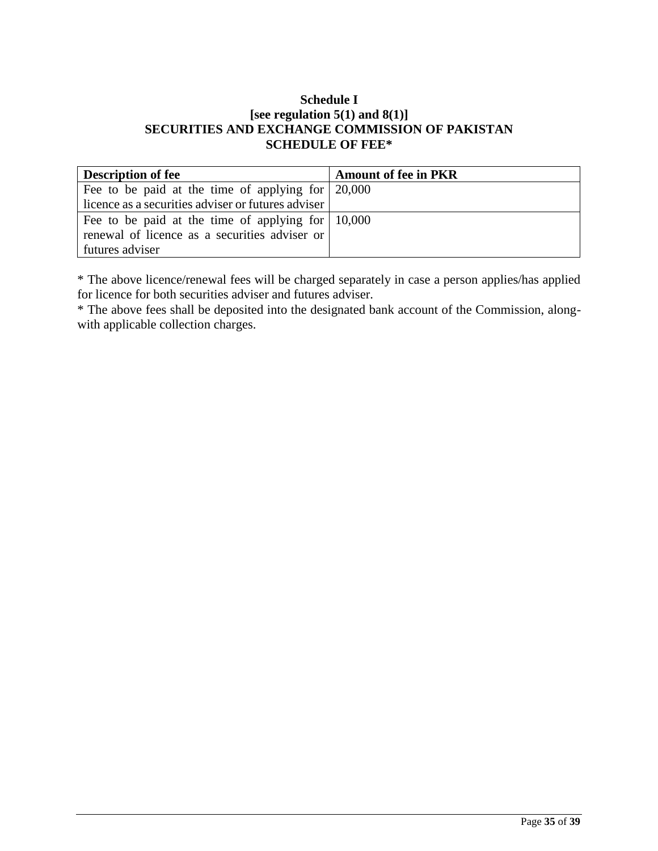## **Schedule I [see regulation 5(1) and 8(1)] SECURITIES AND EXCHANGE COMMISSION OF PAKISTAN SCHEDULE OF FEE\***

| <b>Description of fee</b>                                         | <b>Amount of fee in PKR</b> |
|-------------------------------------------------------------------|-----------------------------|
| Fee to be paid at the time of applying for $\vert 20,000 \rangle$ |                             |
| licence as a securities adviser or futures adviser                |                             |
| Fee to be paid at the time of applying for $\mid$ 10,000          |                             |
| renewal of licence as a securities adviser or                     |                             |
| futures adviser                                                   |                             |

\* The above licence/renewal fees will be charged separately in case a person applies/has applied for licence for both securities adviser and futures adviser.

\* The above fees shall be deposited into the designated bank account of the Commission, alongwith applicable collection charges.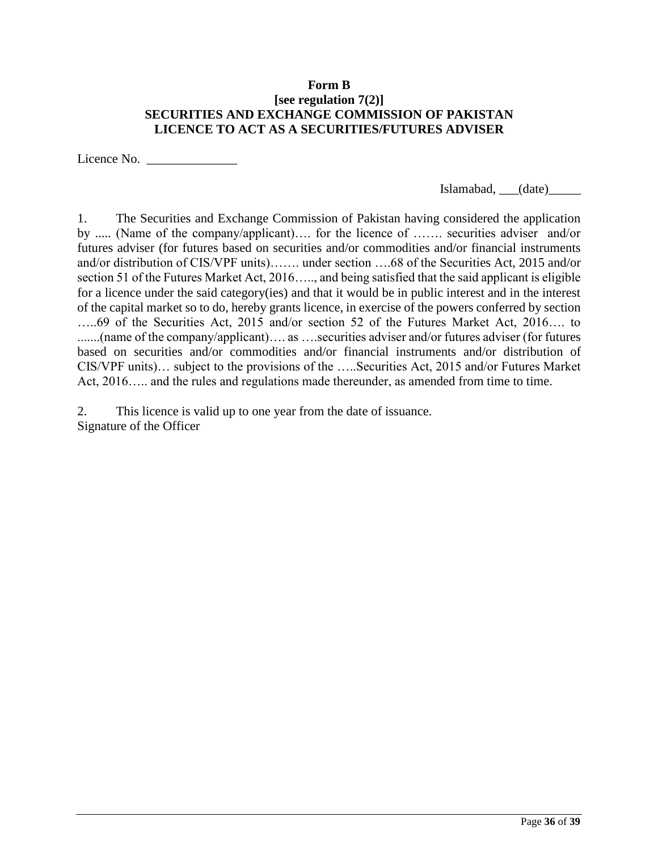### **Form B [see regulation 7(2)] SECURITIES AND EXCHANGE COMMISSION OF PAKISTAN LICENCE TO ACT AS A SECURITIES/FUTURES ADVISER**

Licence No. \_\_\_\_\_\_\_\_\_\_\_\_\_\_

Islamabad, \_\_\_(date)\_\_\_\_\_

1. The Securities and Exchange Commission of Pakistan having considered the application by ..... (Name of the company/applicant)…. for the licence of ……. securities adviser and/or futures adviser (for futures based on securities and/or commodities and/or financial instruments and/or distribution of CIS/VPF units)……. under section ….68 of the Securities Act, 2015 and/or section 51 of the Futures Market Act, 2016….., and being satisfied that the said applicant is eligible for a licence under the said category(ies) and that it would be in public interest and in the interest of the capital market so to do, hereby grants licence, in exercise of the powers conferred by section …..69 of the Securities Act, 2015 and/or section 52 of the Futures Market Act, 2016…. to .......(name of the company/applicant)…. as ….securities adviser and/or futures adviser (for futures based on securities and/or commodities and/or financial instruments and/or distribution of CIS/VPF units)… subject to the provisions of the …..Securities Act, 2015 and/or Futures Market Act, 2016….. and the rules and regulations made thereunder, as amended from time to time.

2. This licence is valid up to one year from the date of issuance. Signature of the Officer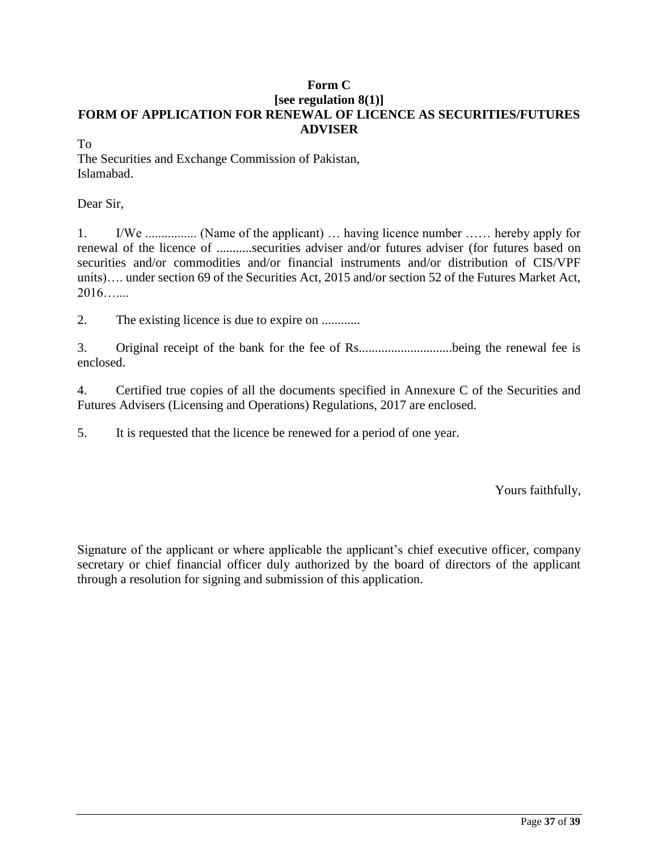# **Form C [see regulation 8(1)] FORM OF APPLICATION FOR RENEWAL OF LICENCE AS SECURITIES/FUTURES ADVISER**

To

The Securities and Exchange Commission of Pakistan, Islamabad.

Dear Sir,

1. I/We ................ (Name of the applicant) … having licence number …… hereby apply for renewal of the licence of ...........securities adviser and/or futures adviser (for futures based on securities and/or commodities and/or financial instruments and/or distribution of CIS/VPF units)…. under section 69 of the Securities Act, 2015 and/or section 52 of the Futures Market Act,  $2016$ ……

2. The existing licence is due to expire on ............

3. Original receipt of the bank for the fee of Rs.............................being the renewal fee is enclosed.

4. Certified true copies of all the documents specified in Annexure C of the Securities and Futures Advisers (Licensing and Operations) Regulations, 2017 are enclosed.

5. It is requested that the licence be renewed for a period of one year.

Yours faithfully,

Signature of the applicant or where applicable the applicant's chief executive officer, company secretary or chief financial officer duly authorized by the board of directors of the applicant through a resolution for signing and submission of this application.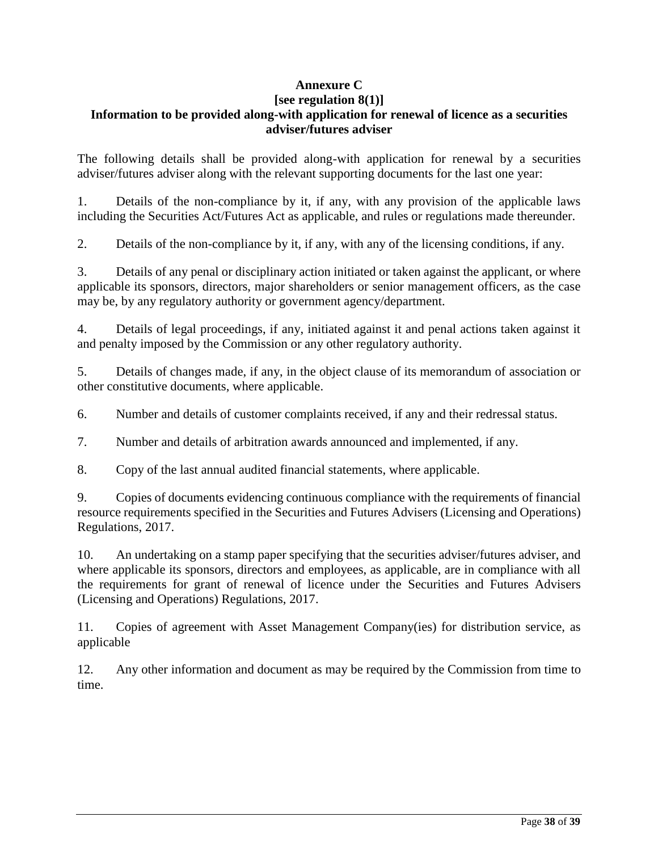# **Annexure C**

#### **[see regulation 8(1)] Information to be provided along-with application for renewal of licence as a securities adviser/futures adviser**

The following details shall be provided along-with application for renewal by a securities adviser/futures adviser along with the relevant supporting documents for the last one year:

1. Details of the non-compliance by it, if any, with any provision of the applicable laws including the Securities Act/Futures Act as applicable, and rules or regulations made thereunder.

2. Details of the non-compliance by it, if any, with any of the licensing conditions, if any.

3. Details of any penal or disciplinary action initiated or taken against the applicant, or where applicable its sponsors, directors, major shareholders or senior management officers, as the case may be, by any regulatory authority or government agency/department.

4. Details of legal proceedings, if any, initiated against it and penal actions taken against it and penalty imposed by the Commission or any other regulatory authority.

5. Details of changes made, if any, in the object clause of its memorandum of association or other constitutive documents, where applicable.

6. Number and details of customer complaints received, if any and their redressal status.

7. Number and details of arbitration awards announced and implemented, if any.

8. Copy of the last annual audited financial statements, where applicable.

9. Copies of documents evidencing continuous compliance with the requirements of financial resource requirements specified in the Securities and Futures Advisers (Licensing and Operations) Regulations, 2017.

10. An undertaking on a stamp paper specifying that the securities adviser/futures adviser, and where applicable its sponsors, directors and employees, as applicable, are in compliance with all the requirements for grant of renewal of licence under the Securities and Futures Advisers (Licensing and Operations) Regulations, 2017.

11. Copies of agreement with Asset Management Company(ies) for distribution service, as applicable

12. Any other information and document as may be required by the Commission from time to time.